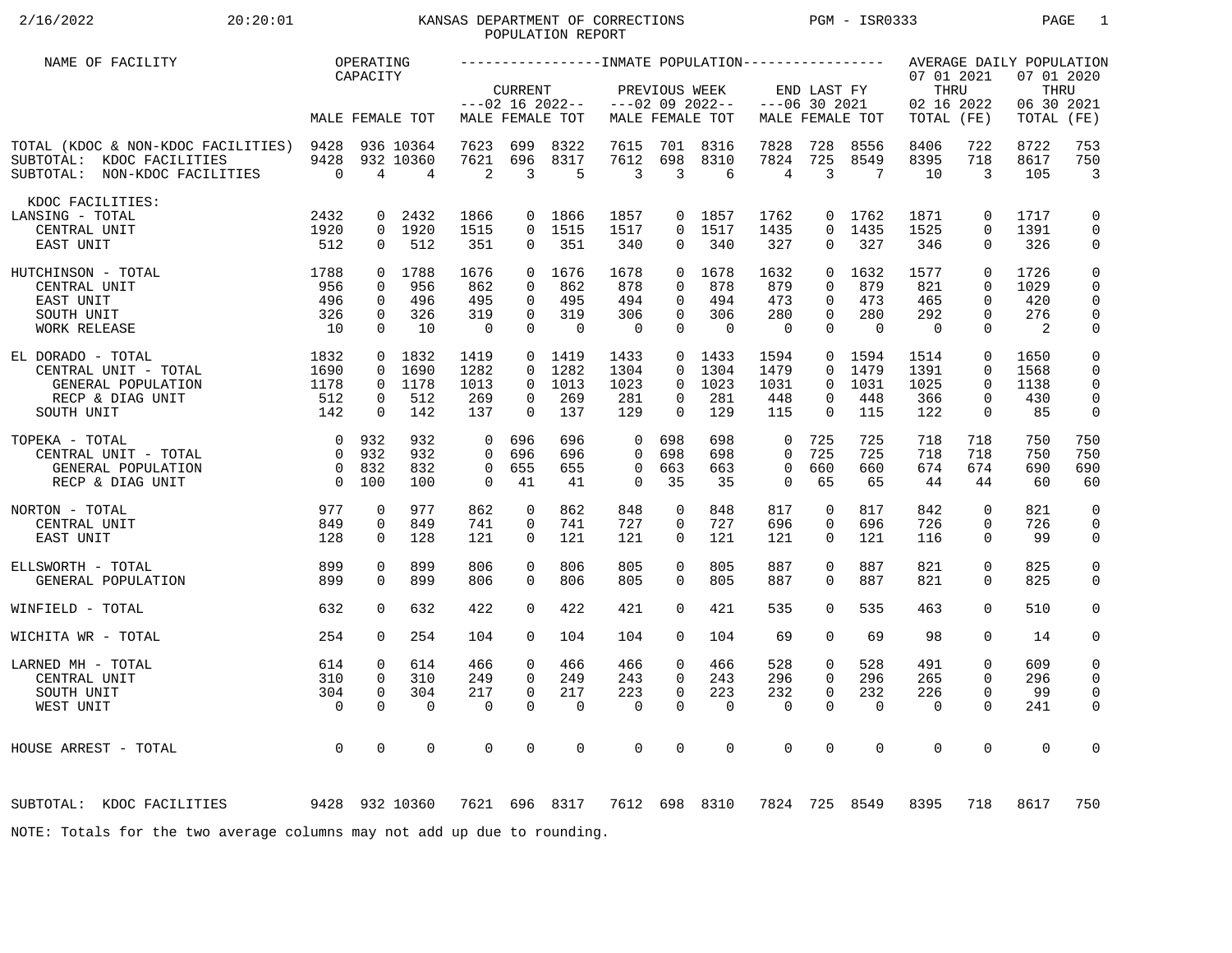## 2/16/2022 20:20:01 KANSAS DEPARTMENT OF CORRECTIONS PGM - ISR0333 PAGE 1POPULATION REPORT

| NAME OF FACILITY                                                                                      |                                           | OPERATING                                            |                                          |                                                          |                                              |                                               |                                                    |                                                 |                                               |                                                       |                                                          |                                             |                                                |                                                                | AVERAGE DAILY POPULATION                                 |                                                                         |
|-------------------------------------------------------------------------------------------------------|-------------------------------------------|------------------------------------------------------|------------------------------------------|----------------------------------------------------------|----------------------------------------------|-----------------------------------------------|----------------------------------------------------|-------------------------------------------------|-----------------------------------------------|-------------------------------------------------------|----------------------------------------------------------|---------------------------------------------|------------------------------------------------|----------------------------------------------------------------|----------------------------------------------------------|-------------------------------------------------------------------------|
|                                                                                                       |                                           | CAPACITY                                             | MALE FEMALE TOT                          |                                                          | CURRENT                                      | $---02$ 16 2022--<br>MALE FEMALE TOT          |                                                    | PREVIOUS WEEK                                   | $---02$ 09 2022--<br>MALE FEMALE TOT          |                                                       | END LAST FY<br>$---06$ 30 2021                           | MALE FEMALE TOT                             | 07 01 2021<br>THRU<br>02 16 2022<br>TOTAL (FE) |                                                                | 07 01 2020<br>THRU<br>06 30 2021<br>TOTAL (FE)           |                                                                         |
| TOTAL (KDOC & NON-KDOC FACILITIES) 9428<br>SUBTOTAL: KDOC FACILITIES<br>SUBTOTAL: NON-KDOC FACILITIES | 9428<br>$\overline{0}$                    | 4                                                    | 936 10364<br>932 10360<br>$\overline{4}$ | 7623<br>7621<br>2                                        | 699<br>696<br>3                              | 8322<br>8317<br>5                             | 7615<br>7612<br>3                                  | 701<br>698<br>3                                 | 8316<br>8310<br>6                             | 7828<br>7824<br>4                                     | 728<br>725<br>3                                          | 8556<br>8549<br>$7\phantom{.0}$             | 8406<br>8395<br>10                             | 722<br>718<br>$\mathbf{3}$                                     | 8722<br>8617<br>105                                      | 753<br>750<br>$\overline{3}$                                            |
| KDOC FACILITIES:<br>LANSING - TOTAL<br>CENTRAL UNIT<br>EAST UNIT                                      | 2432<br>1920<br>512                       | $\mathbf{0}$<br>$\Omega$                             | 2432<br>0 1920<br>512                    | 1866<br>1515<br>351                                      | $\Omega$                                     | 0 1866<br>$0$ 1515<br>351                     | 1857<br>1517<br>340                                | $\Omega$                                        | 0 1857<br>$0$ 1517<br>340                     | 1762<br>1435<br>327                                   | $\Omega$<br>$\Omega$                                     | 0 1762<br>1435<br>327                       | 1871<br>1525<br>346                            | $\mathbf 0$<br>$\Omega$<br>$\Omega$                            | 1717<br>1391<br>326                                      | $\mathbf 0$<br>$\mathbf 0$<br>$\mathbf 0$                               |
| 1788<br>HUTCHINSON - TOTAL<br>CENTRAL UNIT<br>EAST UNIT<br>SOUTH UNIT<br>WORK RELEASE                 | 956<br>496<br>326<br>10                   | $\mathbf{0}$<br>$\mathbf{0}$<br>$\Omega$<br>$\Omega$ | 0 1788<br>956<br>496<br>326<br>10        | 1676<br>862<br>495<br>319<br>$\overline{0}$              | $\Omega$<br>$\Omega$<br>$\Omega$<br>$\Omega$ | 0 1676<br>862<br>495<br>319<br>$\overline{0}$ | 1678<br>878<br>494<br>306<br>$\overline{0}$        | $\Omega$<br>$\Omega$<br>$\Omega$<br>$\Omega$    | 0 1678<br>878<br>494<br>306<br>$\overline{0}$ | 1632<br>879<br>473<br>280<br>$\Omega$                 | $\Omega$<br>$\Omega$<br>$\Omega$<br>$\Omega$<br>$\Omega$ | 1632<br>879<br>473<br>280<br>$\overline{0}$ | 1577<br>821<br>465<br>292<br>$\overline{0}$    | $\Omega$<br>$\Omega$<br>$\Omega$<br>$\Omega$<br>$\Omega$       | 1726<br>1029<br>420<br>276<br>$\overline{\phantom{0}}^2$ | $\mathbf 0$<br>$\mathbf 0$<br>$\mathbf 0$<br>$\mathsf{O}$<br>0          |
| EL DORADO - TOTAL<br>CENTRAL UNIT - TOTAL<br>GENERAL POPULATION<br>RECP & DIAG UNIT<br>SOUTH UNIT     | 1832<br>1690<br>1178<br>512<br>142        | $\Omega$<br>$\overline{0}$<br>$\Omega$               | $0$ 1832<br>1690<br>0 1178<br>512<br>142 | 1419<br>1282<br>1013<br>269<br>137                       | $\Omega$<br>$\Omega$<br>0<br>$\Omega$        | $0$ 1419<br>1282<br>1013<br>269<br>137        | 1433<br>1304<br>1023<br>281<br>129                 | $\Omega$<br>$\Omega$<br>$\mathbf 0$<br>$\Omega$ | 0, 1433<br>1304<br>1023<br>281<br>129         | 1594<br>1479<br>1031<br>448<br>115                    | $\Omega$<br>$\Omega$<br>0<br>$\Omega$                    | 0 1594<br>1479<br>1031<br>448<br>115        | 1514<br>1391<br>1025<br>366<br>122             | $\mathbf 0$<br>$\Omega$<br>$\Omega$<br>$\mathbf 0$<br>$\Omega$ | 1650<br>1568<br>1138<br>430<br>85                        | $\mathbf 0$<br>$\mathbf 0$<br>$\mathbf 0$<br>$\mathbf 0$<br>$\mathbf 0$ |
| TOPEKA - TOTAL<br>CENTRAL UNIT - TOTAL<br>GENERAL POPULATION<br>RECP & DIAG UNIT                      | 0 932<br>$\overline{0}$<br>$\overline{0}$ | 932<br>0 832<br>100                                  | 932<br>932<br>832<br>100                 | $\overline{0}$<br>$\Omega$<br>$\overline{0}$<br>$\Omega$ | 696<br>696<br>655<br>41                      | 696<br>696<br>655<br>41                       | $\mathbf 0$<br>$\Omega$<br>$\mathbf 0$<br>$\Omega$ | 698<br>698<br>663<br>35                         | 698<br>698<br>663<br>35                       | $\mathbf 0$<br>$\mathbf 0$<br>$\mathbf 0$<br>$\Omega$ | 725<br>725<br>660<br>65                                  | 725<br>725<br>660<br>65                     | 718<br>718<br>674<br>44                        | 718<br>718<br>674<br>44                                        | 750<br>750<br>690<br>60                                  | 750<br>750<br>690<br>60                                                 |
| 977<br>NORTON - TOTAL<br>CENTRAL UNIT<br>EAST UNIT                                                    | 849<br>128                                | $\mathbf 0$<br>0<br>$\Omega$                         | 977<br>849<br>128                        | 862<br>741<br>121                                        | $\mathbf 0$<br>0<br>$\Omega$                 | 862<br>741<br>121                             | 848<br>727<br>121                                  | $\mathbf 0$<br>0<br>$\Omega$                    | 848<br>727<br>121                             | 817<br>696<br>121                                     | 0<br>0<br>$\Omega$                                       | 817<br>696<br>121                           | 842<br>726<br>116                              | $\mathbf 0$<br>$\mathbf 0$<br>$\Omega$                         | 821<br>726<br>99                                         | $\mathbf 0$<br>$\mathbf 0$<br>0                                         |
| ELLSWORTH - TOTAL<br>GENERAL POPULATION                                                               | 899<br>899                                | $\mathbf 0$<br>$\Omega$                              | 899<br>899                               | 806<br>806                                               | $\mathbf 0$<br>$\Omega$                      | 806<br>806                                    | 805<br>805                                         | $\mathbf 0$<br>$\Omega$                         | 805<br>805                                    | 887<br>887                                            | 0<br>$\Omega$                                            | 887<br>887                                  | 821<br>821                                     | $\mathbf 0$<br>$\Omega$                                        | 825<br>825                                               | 0<br>$\mathbf 0$                                                        |
| WINFIELD - TOTAL                                                                                      | 632                                       | $\Omega$                                             | 632                                      | 422                                                      | $\Omega$                                     | 422                                           | 421                                                | $\Omega$                                        | 421                                           | 535                                                   | 0                                                        | 535                                         | 463                                            | $\Omega$                                                       | 510                                                      | 0                                                                       |
| WICHITA WR - TOTAL                                                                                    | 254                                       | $\mathbf 0$                                          | 254                                      | 104                                                      | $\Omega$                                     | 104                                           | 104                                                | $\Omega$                                        | 104                                           | 69                                                    | 0                                                        | 69                                          | 98                                             | $\mathbf 0$                                                    | 14                                                       | 0                                                                       |
| LARNED MH - TOTAL<br>CENTRAL UNIT<br>SOUTH UNIT<br>WEST UNIT                                          | 614<br>310<br>304<br>$\overline{0}$       | 0<br>$\mathbf{0}$<br>$\mathbf 0$<br>$\Omega$         | 614<br>310<br>304<br>$\mathbf 0$         | 466<br>249<br>217<br>$\overline{0}$                      | 0<br>$\Omega$<br>0<br>$\Omega$               | 466<br>249<br>217<br>$\mathbf 0$              | 466<br>243<br>223<br>$\mathbf 0$                   | $\mathbf 0$<br>$\Omega$<br>0<br>$\Omega$        | 466<br>243<br>223<br>$\mathbf 0$              | 528<br>296<br>232<br>$\mathbf 0$                      | 0<br>$\Omega$<br>0<br>$\Omega$                           | 528<br>296<br>232<br>0                      | 491<br>265<br>226<br>$\overline{0}$            | $\mathbf 0$<br>$\Omega$<br>$\mathbf 0$<br>$\Omega$             | 609<br>296<br>99<br>241                                  | 0<br>0<br>0<br>0                                                        |
| HOUSE ARREST - TOTAL                                                                                  | $\overline{0}$                            | $\mathbf 0$                                          | 0                                        | $\mathbf 0$                                              | $\mathbf 0$                                  | $\mathbf 0$                                   | $\mathbf 0$                                        | 0                                               | 0                                             | $\mathbf 0$                                           | 0                                                        | $\mathbf 0$                                 | $\mathbf 0$                                    | $\mathsf 0$                                                    | $\mathbf 0$                                              | 0                                                                       |
| 9428 932 10360<br>SUBTOTAL: KDOC FACILITIES                                                           |                                           |                                                      |                                          |                                                          |                                              | 7621 696 8317                                 |                                                    |                                                 | 7612 698 8310                                 |                                                       |                                                          | 7824 725 8549                               | 8395                                           | 718                                                            | 8617                                                     | 750                                                                     |
| NOTE: Totals for the two average columns may not add up due to rounding.                              |                                           |                                                      |                                          |                                                          |                                              |                                               |                                                    |                                                 |                                               |                                                       |                                                          |                                             |                                                |                                                                |                                                          |                                                                         |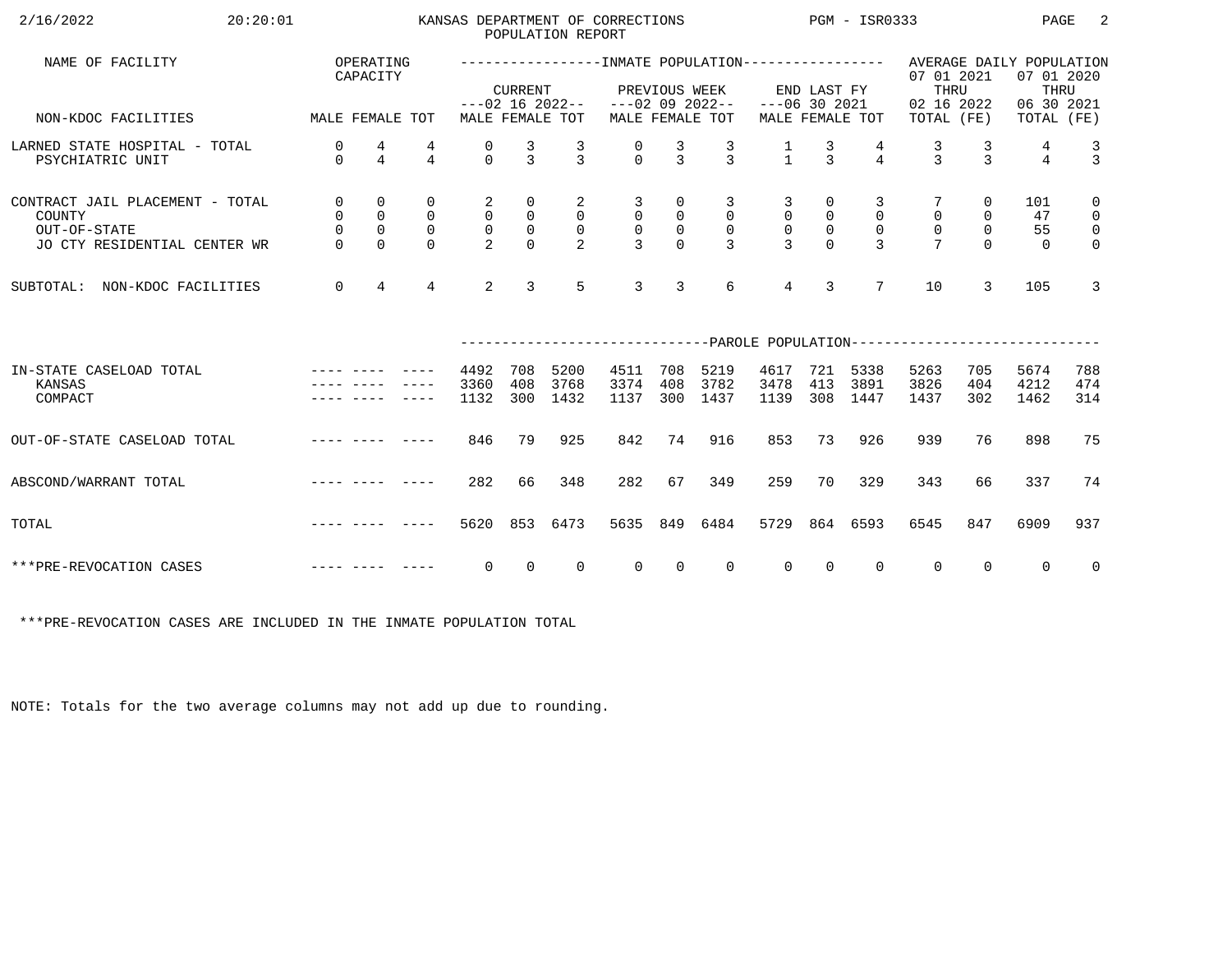| 2/16/2022<br>20:20:01                                                                                                                                                                                                                                     |                                                              |                                                               |                                                        |                                                              |                                                                | POPULATION REPORT                                  | KANSAS DEPARTMENT OF CORRECTIONS                                |                                              |                                                                    |                                                     |                                              | $PGM - ISR0333$                                 |                                                                                                   |                                               | PAGE                        | -2                                                                         |
|-----------------------------------------------------------------------------------------------------------------------------------------------------------------------------------------------------------------------------------------------------------|--------------------------------------------------------------|---------------------------------------------------------------|--------------------------------------------------------|--------------------------------------------------------------|----------------------------------------------------------------|----------------------------------------------------|-----------------------------------------------------------------|----------------------------------------------|--------------------------------------------------------------------|-----------------------------------------------------|----------------------------------------------|-------------------------------------------------|---------------------------------------------------------------------------------------------------|-----------------------------------------------|-----------------------------|----------------------------------------------------------------------------|
| NAME OF FACILITY                                                                                                                                                                                                                                          |                                                              | OPERATING<br>CAPACITY                                         |                                                        |                                                              | <b>CURRENT</b>                                                 |                                                    |                                                                 | PREVIOUS WEEK                                |                                                                    |                                                     | END LAST FY                                  |                                                 | ------------------NMATE POPULATION---------------- AVERAGE DAILY POPULATION<br>07 01 2021<br>THRU |                                               | 07 01 2020<br>THRU          |                                                                            |
| MALE FEMALE TOT<br>NON-KDOC FACILITIES                                                                                                                                                                                                                    |                                                              |                                                               |                                                        |                                                              |                                                                | MALE FEMALE TOT                                    | $---02$ 16 2022-- $---02$ 09 2022--                             |                                              | MALE FEMALE TOT                                                    | $---06$ 30 2021                                     |                                              | MALE FEMALE TOT                                 | 02 16 2022<br>TOTAL (FE)                                                                          |                                               | 06 30 2021<br>TOTAL (FE)    |                                                                            |
| LARNED STATE HOSPITAL - TOTAL<br>PSYCHIATRIC UNIT                                                                                                                                                                                                         | 0<br>$\Omega$                                                | 4<br>$\overline{4}$                                           | 4<br>$\overline{4}$                                    | 0<br>$\Omega$                                                | $\frac{3}{3}$                                                  | $\frac{3}{3}$                                      | $\begin{matrix} 0 \\ 0 \end{matrix}$                            | $\frac{3}{3}$                                | $\frac{3}{3}$                                                      | $\frac{1}{1}$                                       | $\frac{3}{3}$                                | $\overline{4}$                                  | $\frac{3}{3}$                                                                                     | $\frac{3}{3}$                                 | 4<br>$\overline{4}$         | $\frac{3}{3}$                                                              |
| CONTRACT JAIL PLACEMENT - TOTAL<br>COUNTY<br>OUT-OF-STATE<br>JO CTY RESIDENTIAL CENTER WR                                                                                                                                                                 | $\overline{0}$<br>$\overline{0}$<br>$\mathsf{O}$<br>$\Omega$ | $\mathbf 0$<br>$\mathbf 0$<br>$\mathsf{O}\xspace$<br>$\Omega$ | $\mathbf 0$<br>$\mathsf{O}$<br>$\mathbf 0$<br>$\Omega$ | 2<br>$\overline{0}$<br>$\mathsf{O}\xspace$<br>$\overline{2}$ | 0<br>$\begin{smallmatrix}0\\0\\0\end{smallmatrix}$<br>$\Omega$ | $\overline{a}$<br>$\overline{0}$<br>$\overline{0}$ | $\overline{3}$<br>$\overline{0}$<br>$\mathsf 0$<br>$\mathbf{z}$ | 0<br>$\mathsf 0$<br>$\mathsf{O}$<br>$\Omega$ | $\overline{3}$<br>$\overline{0}$<br>$\overline{0}$<br>$\mathbf{3}$ | 3<br>$\overline{0}$<br>$\mathsf{O}$<br>$\mathbf{z}$ | 0<br>$\mathsf{O}$<br>$\mathbb O$<br>$\Omega$ | 3<br>$\mathbf 0$<br>$\mathbf 0$<br>$\mathbf{z}$ | $\mathbf 0$<br>$\mathsf{O}$                                                                       | 0<br>$\mathsf{O}$<br>$\overline{0}$<br>$\cap$ | 101<br>47<br>55<br>$\Omega$ | $\mathbf 0$<br>$\overline{0}$<br>$\overline{\mathbf{0}}$<br>$\overline{0}$ |
| NON-KDOC FACILITIES<br>SUBTOTAL:                                                                                                                                                                                                                          | $\mathbf 0$                                                  | $\overline{4}$                                                | $\overline{4}$                                         | $\overline{2}$                                               | $\overline{3}$                                                 | 5                                                  | $\mathbf{3}$                                                    | 3                                            | 6                                                                  | $\overline{4}$                                      | $\overline{3}$                               | $7\overline{ }$                                 | 10                                                                                                | 3                                             | 105                         | $\overline{3}$                                                             |
|                                                                                                                                                                                                                                                           |                                                              |                                                               |                                                        |                                                              |                                                                |                                                    |                                                                 |                                              |                                                                    |                                                     |                                              |                                                 | ------------------------------PAROLE POPULATION--------------------------                         |                                               |                             |                                                                            |
| IN-STATE CASELOAD TOTAL<br>KANSAS<br>COMPACT                                                                                                                                                                                                              |                                                              |                                                               |                                                        | 4492<br>3360<br>1132                                         | 708<br>408<br>300                                              | 5200<br>3768<br>1432                               | 4511<br>3374<br>1137                                            | 708<br>408<br>300                            | 5219<br>3782<br>1437                                               | 4617<br>3478<br>1139                                | 721<br>413<br>308                            | 5338<br>3891<br>1447                            | 5263<br>3826<br>1437                                                                              | 705<br>404<br>302                             | 5674<br>4212<br>1462        | 788<br>474<br>314                                                          |
| OUT-OF-STATE CASELOAD TOTAL                                                                                                                                                                                                                               |                                                              |                                                               |                                                        | 846                                                          | 79                                                             | 925                                                | 842                                                             | 74                                           | 916                                                                | 853                                                 | 73                                           | 926                                             | 939                                                                                               | 76                                            | 898                         | 75                                                                         |
| ABSCOND/WARRANT TOTAL                                                                                                                                                                                                                                     |                                                              |                                                               |                                                        | 282                                                          | 66                                                             | 348                                                | 282                                                             | 67                                           | 349                                                                | 259                                                 | 70                                           | 329                                             | 343                                                                                               | 66                                            | 337                         | 74                                                                         |
| and the contract and contract and the<br>TOTAL                                                                                                                                                                                                            |                                                              |                                                               |                                                        | 5620                                                         |                                                                | 853 6473                                           | 5635                                                            | 849                                          | 6484                                                               | 5729                                                |                                              | 864 6593                                        | 6545                                                                                              | 847                                           | 6909                        | 937                                                                        |
| and the contract with the contract of the contract of the contract of the contract of the contract of the contract of the contract of the contract of the contract of the contract of the contract of the contract of the cont<br>***PRE-REVOCATION CASES |                                                              |                                                               |                                                        | $\overline{0}$                                               | $\overline{0}$                                                 | $\overline{0}$                                     | $\overline{0}$                                                  | $\overline{0}$                               | $\overline{0}$                                                     | $\overline{0}$                                      | $\overline{0}$                               | $\mathbf{0}$                                    | $\overline{0}$                                                                                    | $\Omega$                                      | $\overline{0}$              | $\overline{0}$                                                             |

\*\*\*PRE-REVOCATION CASES ARE INCLUDED IN THE INMATE POPULATION TOTAL

NOTE: Totals for the two average columns may not add up due to rounding.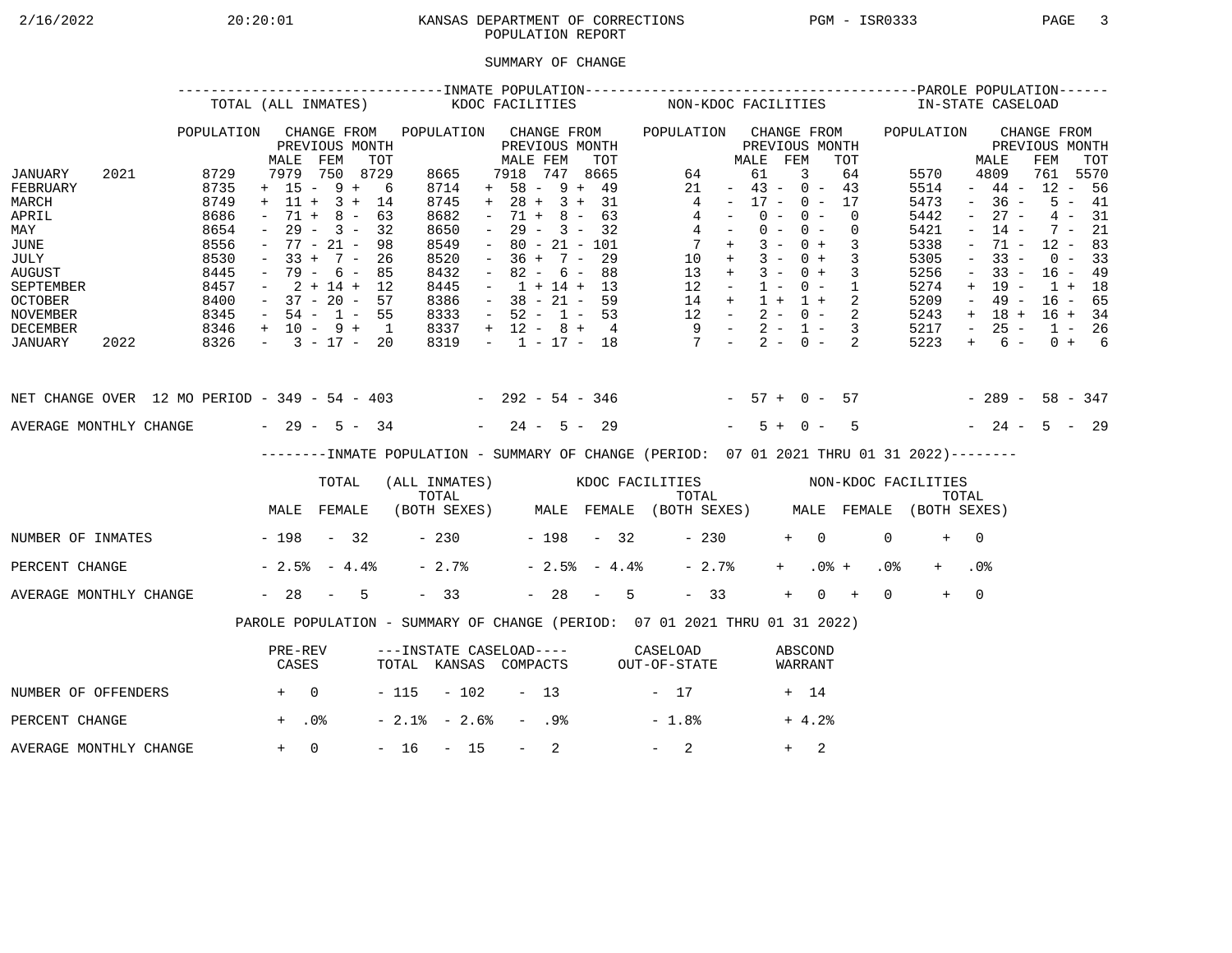# 2/16/2022 20:20:01 KANSAS DEPARTMENT OF CORRECTIONS PGM - ISR0333 PAGE 3 POPULATION REPORT

## SUMMARY OF CHANGE

|                                                                                                                                    | TOTAL (ALL INMATES) |                                                                              |                                                                                                      |                                                                  |                                                       |                                                                              | KDOC FACILITIES |                                                                                                       |                          |                                                                                              |                | NON-KDOC FACILITIES                                                                       |                                                                                                         |                      |                         |                                                                                                |                                                             |                 | IN-STATE CASELOAD                                                            |                                                                                                                                         |                                                                                               |     |                                                                      |                                                     |
|------------------------------------------------------------------------------------------------------------------------------------|---------------------|------------------------------------------------------------------------------|------------------------------------------------------------------------------------------------------|------------------------------------------------------------------|-------------------------------------------------------|------------------------------------------------------------------------------|-----------------|-------------------------------------------------------------------------------------------------------|--------------------------|----------------------------------------------------------------------------------------------|----------------|-------------------------------------------------------------------------------------------|---------------------------------------------------------------------------------------------------------|----------------------|-------------------------|------------------------------------------------------------------------------------------------|-------------------------------------------------------------|-----------------|------------------------------------------------------------------------------|-----------------------------------------------------------------------------------------------------------------------------------------|-----------------------------------------------------------------------------------------------|-----|----------------------------------------------------------------------|-----------------------------------------------------|
| JANUARY<br>FEBRUARY                                                                                                                | 2021                | POPULATION<br>8729<br>8735                                                   | MALE<br>7979<br>$+ 15 - 9 +$                                                                         | FEM                                                              | CHANGE FROM<br>PREVIOUS MONTH<br>TOT<br>750 8729<br>6 | POPULATION<br>8665<br>8714                                                   |                 | MALE FEM<br>7918<br>$+ 58 - 9 + 49$                                                                   |                          | CHANGE FROM<br>PREVIOUS MONTH<br>747                                                         | TOT<br>8665    | POPULATION CHANGE FROM<br>64<br>21                                                        |                                                                                                         | MALE<br>61<br>$\sim$ | FEM                     | PREVIOUS MONTH<br>3<br>$43 - 0 - 43$                                                           | TOT<br>64                                                   |                 | POPULATION<br>5570<br>5514                                                   |                                                                                                                                         | MALE<br>4809<br>$-44-$                                                                        | FEM | CHANGE FROM<br>PREVIOUS MONTH<br>761<br>$12 - 56$                    | TOT<br>5570                                         |
| MARCH<br>APRIL<br>MAY<br><b>JUNE</b><br>JULY<br><b>AUGUST</b><br>SEPTEMBER<br><b>OCTOBER</b><br><b>NOVEMBER</b><br><b>DECEMBER</b> |                     | 8749<br>8686<br>8654<br>8556<br>8530<br>8445<br>8457<br>8400<br>8345<br>8346 | $+$ 11 +<br>$71 +$<br>$ \,$<br>$33 +$<br>$\sim$<br>$-37 - 20 - 57$<br>$-54 - 1 - 55$<br>+ 10 - 9 + 1 | $3 +$<br>$8 -$<br>$29 - 3 -$<br>$77 - 21 -$<br>$7 -$<br>79 - 6 - | 14<br>63<br>32<br>98<br>26<br>85<br>$2 + 14 + 12$     | 8745<br>8682<br>8650<br>8549<br>8520<br>8432<br>8445<br>8386<br>8333<br>8337 |                 | $+ 28 + 3 + 31$<br>$\sim$<br>$\sim$<br>$\sim$<br>$\sim$<br>$\sim$<br>$-52 - 1 - 53$<br>$+ 12 - 8 + 4$ | 71 +<br>$36 +$<br>$82 -$ | $8 -$<br>$29 - 3 - 32$<br>$80 - 21 - 101$<br>$7 -$<br>6 –<br>$1 + 14 + 13$<br>$38 - 21 - 59$ | 63<br>29<br>88 | 13<br>12                                                                                  | 4<br>4<br>$4 -$<br>$7 +$<br>$10 +$<br>$+$<br>$\sim$ $ -$<br>14 +<br>$12 - 2 - 0 - 2$<br>$9 - 2 - 1 - 3$ | $\sim$ $-$           | $0 -$<br>$3 -$<br>$1 -$ | $17 - 0 - 17$<br>$0 -$<br>$0 - 0 -$<br>$0 +$<br>$3 - 0 +$<br>$3 - 0 +$<br>$0 - 1$<br>$1 + 1 +$ | $\Omega$<br>$\overline{0}$<br>3<br>$\overline{3}$<br>3<br>2 |                 | 5473<br>5442<br>5421<br>5338<br>5305<br>5256<br>5274<br>5209<br>5243<br>5217 | $\sim$<br>$\equiv$<br>$\overline{\phantom{a}}$<br>$\overline{\phantom{a}}$<br>$\overline{\phantom{a}}$<br>$+$<br>$ \,$<br>$+$<br>$\sim$ | $-36 -$<br>$27 -$<br>$14 -$<br>71 -<br>$33 -$<br>$33 -$<br>$19 -$<br>$49 -$<br>18 +<br>$25 -$ |     | $7 -$<br>$12 - 83$<br>$0 - 33$<br>$16 - 49$<br>$1 + 18$<br>$16 - 65$ | $5 - 41$<br>$4 - 31$<br>21<br>$16 + 34$<br>$1 - 26$ |
| JANUARY                                                                                                                            | 2022                | 8326                                                                         | $-3 - 17 - 20$                                                                                       |                                                                  |                                                       | 8319                                                                         |                 | $-1$ $-17$ $-18$                                                                                      |                          |                                                                                              |                | $7 - 2 - 0 -$                                                                             |                                                                                                         |                      |                         |                                                                                                | 2                                                           |                 | 5223                                                                         | $+$                                                                                                                                     | 6 –                                                                                           |     |                                                                      | $0 + 6$                                             |
| NET CHANGE OVER 12 MO PERIOD - 349 - 54 - 403 - 292 - 54 - 346 - 57 + 0 - 57                                                       |                     |                                                                              |                                                                                                      |                                                                  |                                                       |                                                                              |                 |                                                                                                       |                          |                                                                                              |                |                                                                                           |                                                                                                         |                      |                         |                                                                                                |                                                             |                 | $-289 - 58 - 347$                                                            |                                                                                                                                         |                                                                                               |     |                                                                      |                                                     |
| AVERAGE MONTHLY CHANGE $-29 - 5 - 34$                                                                                              |                     |                                                                              |                                                                                                      |                                                                  |                                                       |                                                                              |                 | $-24 - 5 - 29$                                                                                        |                          |                                                                                              |                |                                                                                           |                                                                                                         |                      | $5+$                    | $0 -$                                                                                          | 5                                                           |                 |                                                                              |                                                                                                                                         | $-24 - 5 - 29$                                                                                |     |                                                                      |                                                     |
|                                                                                                                                    |                     |                                                                              |                                                                                                      |                                                                  |                                                       |                                                                              |                 |                                                                                                       |                          |                                                                                              |                | -------INMATE POPULATION - SUMMARY OF CHANGE (PERIOD: 07 01 2021 THRU 01 31 2022)-------- |                                                                                                         |                      |                         |                                                                                                |                                                             |                 |                                                                              |                                                                                                                                         |                                                                                               |     |                                                                      |                                                     |
|                                                                                                                                    |                     |                                                                              |                                                                                                      | TOTAL                                                            |                                                       | TOTAL                                                                        |                 |                                                                                                       |                          |                                                                                              |                | (ALL INMATES) WOOC FACILITIES NON-KDOC FACILITIES                                         | TOTAL                                                                                                   |                      |                         |                                                                                                |                                                             |                 |                                                                              | TOTAL                                                                                                                                   |                                                                                               |     |                                                                      |                                                     |
|                                                                                                                                    |                     |                                                                              | MALE FEMALE                                                                                          |                                                                  |                                                       |                                                                              |                 |                                                                                                       |                          |                                                                                              |                | (BOTH SEXES) MALE FEMALE (BOTH SEXES) MALE FEMALE (BOTH SEXES)                            |                                                                                                         |                      |                         |                                                                                                |                                                             |                 |                                                                              |                                                                                                                                         |                                                                                               |     |                                                                      |                                                     |
| NUMBER OF INMATES - 198 - 32                                                                                                       |                     |                                                                              |                                                                                                      |                                                                  |                                                       | $-230$                                                                       |                 | $-198 - 32$                                                                                           |                          |                                                                                              |                |                                                                                           | $-230$                                                                                                  |                      |                         | $+$ 0                                                                                          |                                                             | $\Omega$        | $+$                                                                          | $\overline{0}$                                                                                                                          |                                                                                               |     |                                                                      |                                                     |
| PERCENT CHANGE                                                                                                                     |                     |                                                                              | $-2.5% - 4.4%$                                                                                       |                                                                  |                                                       | $-2.7%$                                                                      |                 |                                                                                                       |                          | $-2.5% - 4.4%$                                                                               |                |                                                                                           | $-2.7%$                                                                                                 |                      | $+$                     |                                                                                                | $.0%$ +                                                     | .0 <sub>8</sub> |                                                                              | .0%                                                                                                                                     |                                                                                               |     |                                                                      |                                                     |
| AVERAGE MONTHLY CHANGE                                                                                                             |                     |                                                                              | $-28 - 5$                                                                                            |                                                                  |                                                       | $-33$                                                                        |                 |                                                                                                       |                          | $-28 - 5$                                                                                    |                |                                                                                           | $-33$                                                                                                   |                      | $+$                     |                                                                                                | $0 +$                                                       | $\Omega$        | $+$                                                                          | $\Omega$                                                                                                                                |                                                                                               |     |                                                                      |                                                     |
|                                                                                                                                    |                     |                                                                              |                                                                                                      |                                                                  |                                                       |                                                                              |                 |                                                                                                       |                          |                                                                                              |                | PAROLE POPULATION - SUMMARY OF CHANGE (PERIOD: 07 01 2021 THRU 01 31 2022)                |                                                                                                         |                      |                         |                                                                                                |                                                             |                 |                                                                              |                                                                                                                                         |                                                                                               |     |                                                                      |                                                     |
|                                                                                                                                    |                     |                                                                              | PRE-REV<br>CASES                                                                                     |                                                                  |                                                       |                                                                              |                 |                                                                                                       |                          |                                                                                              |                | ---INSTATE CASELOAD---- CASELOAD<br>TOTAL KANSAS COMPACTS OUT-OF-STATE                    |                                                                                                         |                      |                         | ABSCOND<br>WARRANT                                                                             |                                                             |                 |                                                                              |                                                                                                                                         |                                                                                               |     |                                                                      |                                                     |
| NUMBER OF OFFENDERS                                                                                                                |                     | $+ 0$                                                                        |                                                                                                      |                                                                  |                                                       | $-115 - 102$                                                                 |                 |                                                                                                       | $-13$                    |                                                                                              |                | $-17$                                                                                     |                                                                                                         |                      |                         | + 14                                                                                           |                                                             |                 |                                                                              |                                                                                                                                         |                                                                                               |     |                                                                      |                                                     |
| PERCENT CHANGE                                                                                                                     |                     |                                                                              | $+$ .0%                                                                                              |                                                                  |                                                       | $-2.1$ % $-2.6$ %                                                            |                 |                                                                                                       | - .9%                    |                                                                                              |                | $-1.8%$                                                                                   |                                                                                                         |                      |                         | $+4.2%$                                                                                        |                                                             |                 |                                                                              |                                                                                                                                         |                                                                                               |     |                                                                      |                                                     |
| AVERAGE MONTHLY CHANGE                                                                                                             |                     |                                                                              | $+$                                                                                                  | $\Omega$                                                         |                                                       | $-16$                                                                        | $-15$           |                                                                                                       | $-$                      | 2                                                                                            |                | 2                                                                                         |                                                                                                         |                      | $+$                     | 2                                                                                              |                                                             |                 |                                                                              |                                                                                                                                         |                                                                                               |     |                                                                      |                                                     |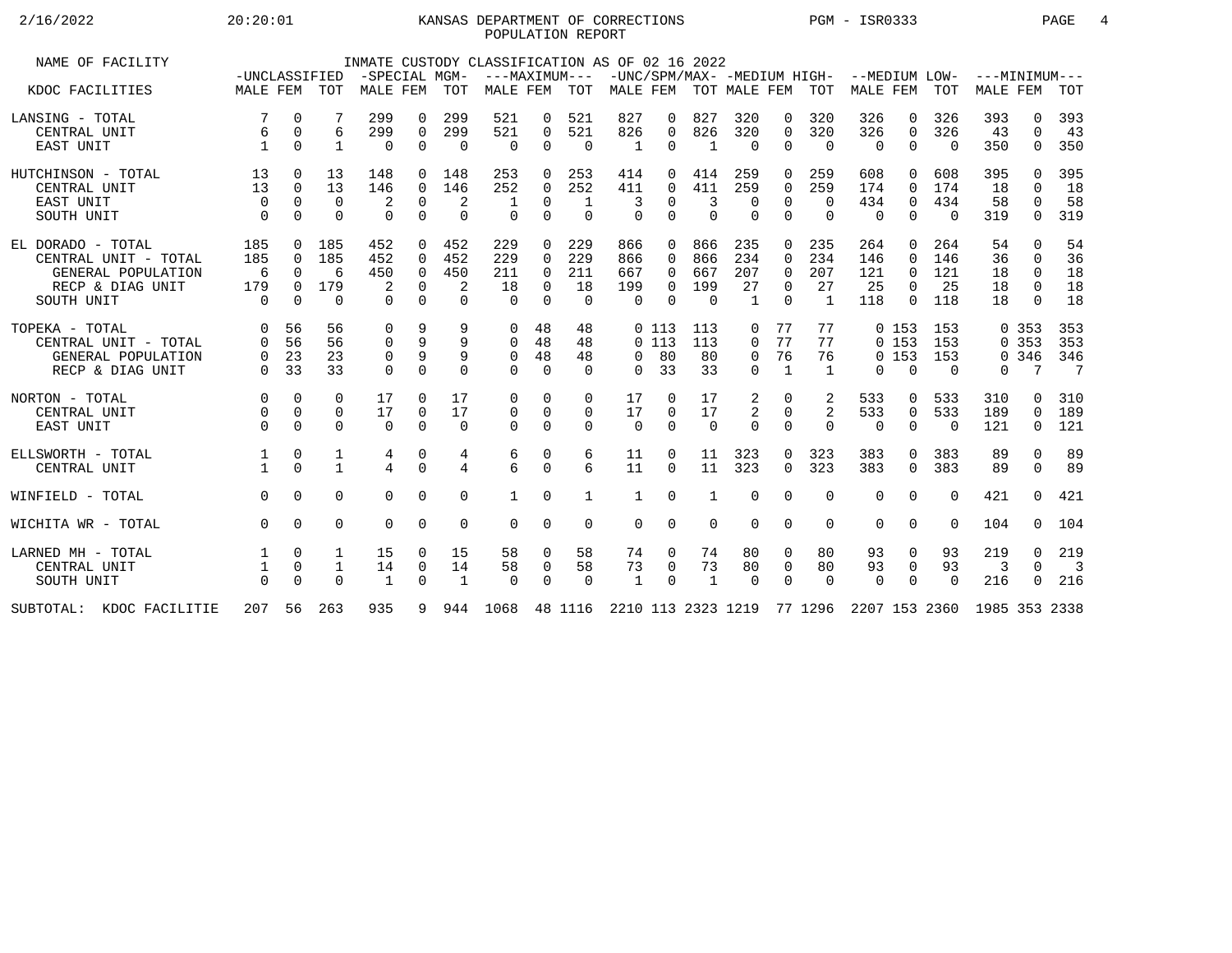## 2/16/2022 20:20:01 KANSAS DEPARTMENT OF CORRECTIONS PGM - ISR0333 PAGE 4 POPULATION REPORT

| NAME OF FACILITY         | -UNCLASSIFIED |             |              | -SPECIAL MGM-  |             |                | INMATE CUSTODY CLASSIFICATION AS OF 02 16 2022<br>---MAXIMUM--- |             |             |                           |          |          |              |              |                            | -UNC/SPM/MAX- -MEDIUM HIGH- --MEDIUM LOW- |                |            | $---MINIMUM---$ |              |                          |
|--------------------------|---------------|-------------|--------------|----------------|-------------|----------------|-----------------------------------------------------------------|-------------|-------------|---------------------------|----------|----------|--------------|--------------|----------------------------|-------------------------------------------|----------------|------------|-----------------|--------------|--------------------------|
| KDOC FACILITIES          | MALE FEM TOT  |             |              | MALE FEM TOT   |             |                | MALE FEM                                                        |             | TOT         | MALE FEM TOT MALE FEM TOT |          |          |              |              |                            | MALE FEM                                  |                | <b>TOT</b> | MALE FEM        |              | TOT                      |
| LANSING - TOTAL          |               | $\Omega$    |              | 299            | $\Omega$    | 299            | 521                                                             | 0           | 521         | 827                       | 0        | 827      | 320          | $\Omega$     | 320                        | 326                                       | $\Omega$       | 326        | 393             | <sup>n</sup> | 393                      |
| CENTRAL UNIT             | 6             | $\mathbf 0$ | 6            | 299            | $\Omega$    | 299            | 521                                                             | 0           | 521         | 826                       | 0        | 826      | 320          | $\Omega$     | 320                        | 326                                       | $\Omega$       | 326        | 43              | $\Omega$     | 43                       |
| EAST UNIT                |               | $\Omega$    | $\mathbf{1}$ | $\Omega$       | $\Omega$    | $\Omega$       | $\Omega$                                                        | $\Omega$    | $\Omega$    | $\mathbf{1}$              | $\Omega$ |          | $\Omega$     | $\Omega$     | $\overline{0}$             | $\Omega$                                  | $\Omega$       | $\Omega$   | 350             | $\Omega$     | 350                      |
| HUTCHINSON - TOTAL       | 13            | $\Omega$    | 13           | 148            | $\Omega$    | 148            | 253                                                             | $\Omega$    | 253         | 414                       | 0        | 414      | 259          | 0            | 259                        | 608                                       | $\Omega$       | 608        | 395             | $\cap$       | 395                      |
| CENTRAL UNIT             | 13            | $\Omega$    | 13           | 146            | $\Omega$    | 146            | 252                                                             | $\Omega$    | 252         | 411                       | $\Omega$ | 411      | 259          | $\Omega$     | 259                        | 174                                       | $\Omega$       | 174        | 18              | $\Omega$     | 18                       |
| EAST UNIT                | $\Omega$      | $\Omega$    | $\Omega$     | 2              | $\mathbf 0$ | 2              |                                                                 | $\mathbf 0$ | 1           | 3                         | $\Omega$ | 3        | 0            | $\Omega$     | $\Omega$                   | 434                                       | $\mathbf 0$    | 434        | 58              | $\Omega$     | 58                       |
| SOUTH UNIT               | $\Omega$      | $\Omega$    | $\Omega$     | $\Omega$       | $\Omega$    | $\Omega$       | $\Omega$                                                        | $\Omega$    | $\Omega$    | $\Omega$                  | $\Omega$ | $\Omega$ | $\Omega$     | $\Omega$     | $\Omega$                   | $\Omega$                                  | $\Omega$       | $\Omega$   | 319             | $\Omega$     | 319                      |
| EL DORADO - TOTAL        | 185           | $\Omega$    | 185          | 452            | $\Omega$    | 452            | 229                                                             | $\Omega$    | 229         | 866                       | $\Omega$ | 866      | 235          | $\Omega$     | 235                        | 264                                       | $\Omega$       | 264        | 54              | $\Omega$     | 54                       |
| CENTRAL UNIT - TOTAL     | 185           | $\Omega$    | 185          | 452            | $\Omega$    | 452            | 229                                                             | $\Omega$    | 229         | 866                       | 0        | 866      | 234          | $\Omega$     | 234                        | 146                                       | $\Omega$       | 146        | 36              | $\Omega$     | 36                       |
| GENERAL POPULATION       | 6             | $\cap$      | 6            | 450            | $\Omega$    | 450            | 211                                                             | $\Omega$    | 211         | 667                       | 0        | 667      | 207          | $\Omega$     | 207                        | 121                                       | $\Omega$       | 121        | 18              | $\Omega$     | 18                       |
| RECP & DIAG UNIT         | 179           | $\Omega$    | 179          | 2              | $\Omega$    | 2              | 18                                                              | $\Omega$    | 18          | 199                       | 0        | 199      | 27           | $\Omega$     | 27                         | 25                                        | $\Omega$       | 25         | 18              | $\Omega$     | 18                       |
| SOUTH UNIT               | $\Omega$      | $\Omega$    | $\Omega$     | $\Omega$       | $\Omega$    | $\Omega$       | $\Omega$                                                        | $\Omega$    | $\Omega$    | $\Omega$                  | $\Omega$ | $\Omega$ | $\mathbf{1}$ | $\Omega$     | $\overline{1}$             | 118                                       | $\Omega$       | 118        | 18              | $\Omega$     | 18                       |
| TOPEKA - TOTAL           | $\Omega$      | 56          | 56           | 0              | 9           | 9              | $\Omega$                                                        | 48          | 48          |                           | 0 113    | 113      | 0            | 77           | 77                         |                                           | 0, 153         | 153        |                 | 0.353        | 353                      |
| CENTRAL UNIT - TOTAL     | $\Omega$      | 56          | 56           | 0              | 9           |                | $\Omega$                                                        | 48          | 48          |                           | 0113     | 113      | $\Omega$     | 77           | 77                         |                                           | 0, 153         | 153        |                 | 0.353        | 353                      |
| GENERAL POPULATION       |               | 23          | 23           | 0              | 9           | 9              | $\mathbf 0$                                                     | 48          | 48          | $\Omega$                  | 80       | 80       | 0            | 76           | 76                         |                                           | 0, 153         | 153        |                 | 0 346        | 346                      |
| RECP & DIAG UNIT         | $\Omega$      | 33          | 33           | $\Omega$       | $\Omega$    | $\Omega$       | $\Omega$                                                        | $\Omega$    | $\Omega$    | $\Omega$                  | 33       | 33       | $\Omega$     | $\mathbf{1}$ | <sup>1</sup>               | 0                                         | $\Omega$       | $\Omega$   | $\Omega$        | 7            | $\overline{7}$           |
| NORTON - TOTAL           | $\mathbf 0$   | $\mathbf 0$ | 0            | 17             | $\Omega$    | 17             | 0                                                               | $\mathbf 0$ | 0           | 17                        | 0        | 17       | 2            | 0            | 2                          | 533                                       | 0              | 533        | 310             | 0            | 310                      |
| CENTRAL UNIT             | $\Omega$      | $\Omega$    | $\mathbf 0$  | 17             | $\mathbf 0$ | 17             | $\mathbf 0$                                                     | $\mathbf 0$ | $\mathbf 0$ | 17                        | $\Omega$ | 17       | 2            | $\Omega$     | 2                          | 533                                       | $\overline{0}$ | 533        | 189             | $\Omega$     | 189                      |
| EAST UNIT                | $\Omega$      | $\Omega$    | $\Omega$     | $\Omega$       | $\Omega$    | $\Omega$       | $\Omega$                                                        | $\Omega$    | $\Omega$    | $\Omega$                  | $\Omega$ | $\Omega$ | $\Omega$     | $\Omega$     | $\Omega$                   | 0                                         | $\Omega$       | $\Omega$   | 121             | $\Omega$     | 121                      |
| ELLSWORTH - TOTAL        |               | 0           | 1            | 4              | 0           | 4              | 6                                                               | 0           | 6           | 11                        | 0        | 11       | 323          | $\Omega$     | 323                        | 383                                       | $\Omega$       | 383        | 89              | $\Omega$     | 89                       |
| CENTRAL UNIT             |               | $\cap$      | $\mathbf{1}$ | $\overline{4}$ | $\Omega$    | $\overline{4}$ | 6                                                               | $\Omega$    | 6           | 11                        | $\Omega$ | 11       | 323          | $\Omega$     | 323                        | 383                                       | $\Omega$       | 383        | 89              | $\Omega$     | 89                       |
| WINFIELD - TOTAL         | $\Omega$      | $\Omega$    | $\Omega$     | $\Omega$       | $\Omega$    | $\Omega$       | $\mathbf{1}$                                                    | $\Omega$    | 1           | 1                         | $\Omega$ |          | $\Omega$     | $\Omega$     | $\Omega$                   | $\Omega$                                  | $\Omega$       | $\Omega$   | 421             | $\Omega$     | 421                      |
| WICHITA WR - TOTAL       | $\Omega$      | $\Omega$    | $\Omega$     | $\Omega$       | $\Omega$    | $\Omega$       | $\Omega$                                                        | $\Omega$    | $\Omega$    | $\Omega$                  | $\Omega$ | $\Omega$ | $\Omega$     | $\Omega$     | $\Omega$                   | $\Omega$                                  | $\Omega$       | $\Omega$   | 104             | $\Omega$     | 104                      |
| LARNED MH - TOTAL        |               | $\mathbf 0$ | 1            | 15             |             | 15             | 58                                                              | 0           | 58          | 74                        | 0        | 74       | 80           | 0            | 80                         | 93                                        | 0              | 93         | 219             | 0            | 219                      |
| CENTRAL UNIT             |               | $\Omega$    | 1            | 14             | 0           | 14             | 58                                                              | 0           | 58          | 73                        | 0        | 73       | 80           | 0            | 80                         | 93                                        | 0              | 93         | 3               | $\Omega$     | $\overline{\phantom{a}}$ |
| SOUTH UNIT               | $\Omega$      | $\Omega$    | $\Omega$     | $\mathbf{1}$   | $\Omega$    | $\overline{1}$ | $\Omega$                                                        | $\Omega$    | $\Omega$    | $\mathbf{1}$              | $\Omega$ | 1        | $\Omega$     | $\Omega$     | $\Omega$                   | $\Omega$                                  | $\Omega$       | $\Omega$   | 216             | $\Omega$     | 216                      |
| SUBTOTAL: KDOC FACILITIE | 207           | 56          | 263          | 935            | 9           | 944            | 1068                                                            |             | 48 1116     |                           |          |          |              |              | 2210 113 2323 1219 77 1296 | 2207 153 2360                             |                |            | 1985 353 2338   |              |                          |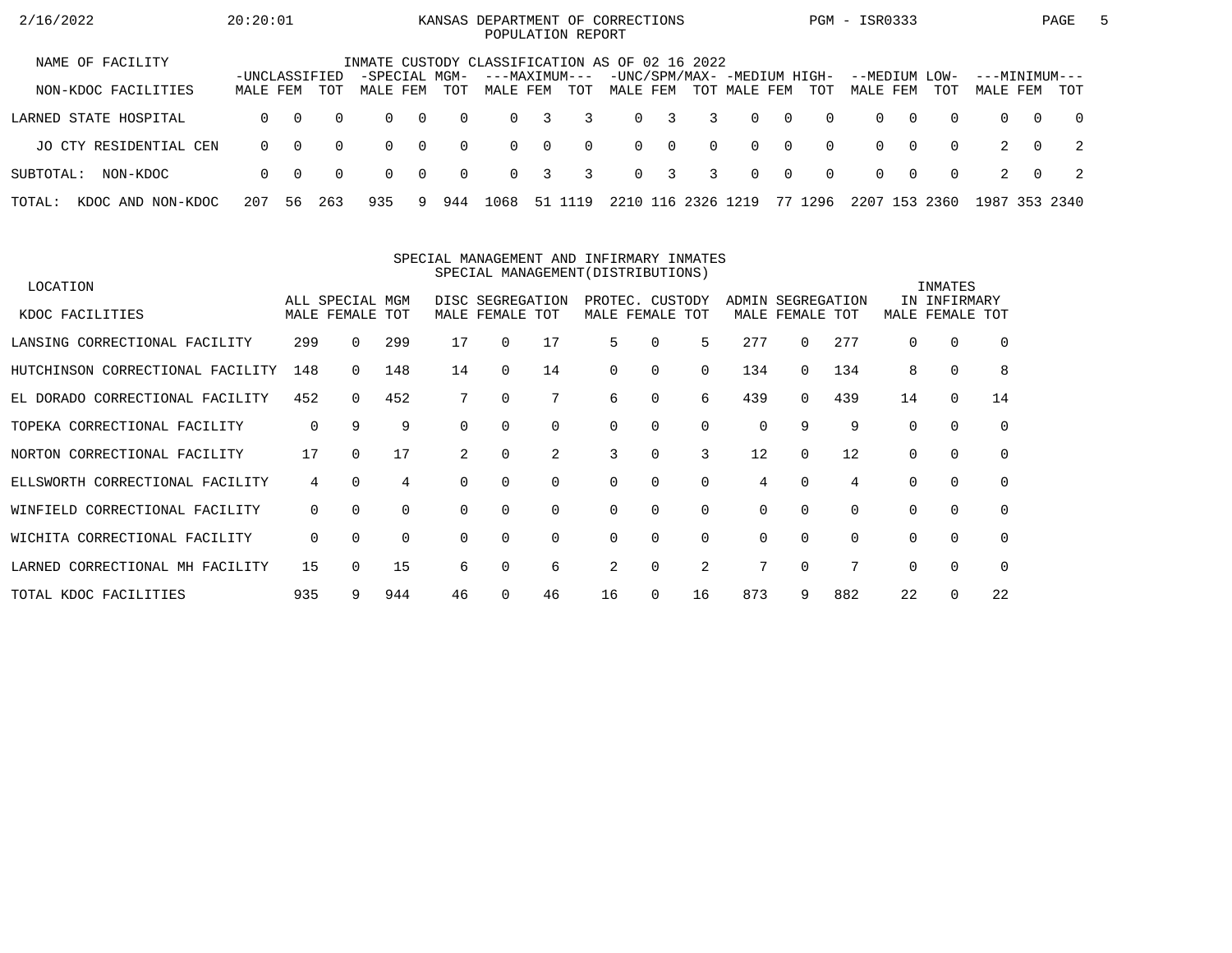| 2/16/2022                   | 20:20:01                  |          |          |                                                |                |          | KANSAS DEPARTMENT OF CORRECTIONS<br>POPULATION REPORT |          |          |          |                         |               |                                             |                |          | PGM - ISR0333        |          |             |                           |          | PAGE           | $\mathbf{b}$ |
|-----------------------------|---------------------------|----------|----------|------------------------------------------------|----------------|----------|-------------------------------------------------------|----------|----------|----------|-------------------------|---------------|---------------------------------------------|----------------|----------|----------------------|----------|-------------|---------------------------|----------|----------------|--------------|
| NAME OF FACILITY            |                           |          |          | INMATE CUSTODY CLASSIFICATION AS OF 02 16 2022 |                |          |                                                       |          |          |          |                         |               |                                             |                |          |                      |          |             |                           |          |                |              |
| NON-KDOC FACILITIES         | -UNCLASSIFIED<br>MALE FEM |          | TOT      | -SPECIAL MGM-<br>MALE FEM                      |                | TOT      | ---MAXIMUM---<br>MALE FEM                             |          | TOT      | MALE FEM |                         |               | -UNC/SPM/MAX- -MEDIUM HIGH-<br>TOT MALE FEM |                | TOT      | --MEDIUM<br>MALE FEM |          | LOW-<br>TOT | ---MINIMUM---<br>MALE FEM |          | TOT            |              |
| LARNED STATE HOSPITAL       | $\Omega$                  | $\Omega$ | $\Omega$ | $\Omega$                                       | $\overline{0}$ | $\Omega$ | $\Omega$                                              | 3        | 3        | $\Omega$ | $\overline{\mathbf{3}}$ | 3             | $\Omega$                                    | $\overline{0}$ | $\Omega$ | $\Omega$             | $\Omega$ | $\Omega$    | $\Omega$                  | $\Omega$ | $\overline{0}$ |              |
| JO CTY RESIDENTIAL CEN      | $\Omega$                  | $\Omega$ | $\Omega$ | $\Omega$                                       | $\overline{0}$ | $\Omega$ | $\Omega$                                              | $\Omega$ | $\Omega$ |          | $0 \quad 0$             | $\Omega$      | $\Omega$                                    | $\overline{0}$ | $\Omega$ | $\Omega$             | $\Omega$ | $\Omega$    |                           | $\Omega$ | $\overline{2}$ |              |
| SUBTOTAL:<br>NON-KDOC       | $\Omega$                  | - 0      | $\Omega$ | $\Omega$                                       | $\overline{0}$ | $\Omega$ | $\Omega$                                              | 3        | 3        |          | $0 \quad 3$             | 3             | $\Omega$                                    | $\overline{0}$ | $\Omega$ | $\Omega$             | $\Omega$ | $\Omega$    |                           | $\Omega$ | - 2            |              |
| TOTAL:<br>KDOC AND NON-KDOC | 207                       | 56       | 263      | 935                                            | 9.             | 944      | 1068                                                  | 51       | 19       |          |                         | 2210 116 2326 | 1219                                        |                | 77 1296  | 2207 153             |          | 2360        | 1987                      |          | 353 2340       |              |

#### SPECIAL MANAGEMENT AND INFIRMARY INMATESSPECIAL MANAGEMENT(DISTRIBUTIONS)

| LOCATION                         |     |                 |     |          |                  |             |          |                 |          |          |             |          |          | INMATES      |          |
|----------------------------------|-----|-----------------|-----|----------|------------------|-------------|----------|-----------------|----------|----------|-------------|----------|----------|--------------|----------|
|                                  |     | ALL SPECIAL MGM |     |          | DISC SEGREGATION |             |          | PROTEC. CUSTODY |          | ADMIN    | SEGREGATION |          |          | IN INFIRMARY |          |
| KDOC FACILITIES                  |     | MALE FEMALE TOT |     |          | MALE FEMALE TOT  |             |          | MALE FEMALE TOT |          |          | MALE FEMALE | TOT      | MALE     | FEMALE       | TOT      |
| LANSING CORRECTIONAL FACILITY    | 299 |                 | 299 | 17       | $\Omega$         | 17          | 5        | $\Omega$        | 5        | 277      | 0           | 277      | $\Omega$ | 0            | $\Omega$ |
| HUTCHINSON CORRECTIONAL FACILITY | 148 | $\Omega$        | 148 | 14       | $\Omega$         | 14          | $\Omega$ | 0               | $\Omega$ | 134      | 0           | 134      | 8        | $\mathbf 0$  | 8        |
| EL DORADO CORRECTIONAL FACILITY  | 452 | $\Omega$        | 452 |          | 0                |             | 6        | 0               | 6        | 439      | 0           | 439      | 14       | $\mathbf 0$  | 14       |
| TOPEKA CORRECTIONAL FACILITY     | 0   | 9               | 9   |          |                  | $\Omega$    | $\Omega$ | $\Omega$        | $\Omega$ | 0        | 9           | 9        | $\Omega$ | $\Omega$     | $\Omega$ |
| NORTON CORRECTIONAL FACILITY     | 17  | $\Omega$        | 17  | 2        | $\Omega$         | 2           | 3        | $\Omega$        | 3        | 12       | $\Omega$    | 12       |          | $\Omega$     | $\Omega$ |
| ELLSWORTH CORRECTIONAL FACILITY  | 4   | $\Omega$        | 4   |          | $\Omega$         | $\mathbf 0$ | $\Omega$ | 0               | $\Omega$ | 4        |             | 4        |          | $\mathbf 0$  | 0        |
| WINFIELD CORRECTIONAL FACILITY   | 0   | $\Omega$        | 0   | $\Omega$ | $\Omega$         | $\Omega$    | $\Omega$ | $\Omega$        | $\Omega$ | $\Omega$ | $\Omega$    | $\Omega$ | $\Omega$ | $\mathbf 0$  | $\Omega$ |
| WICHITA CORRECTIONAL FACILITY    | 0   | $\Omega$        | 0   |          |                  | $\Omega$    | $\Omega$ | $\Omega$        | $\Omega$ | 0        | $\Omega$    | $\Omega$ |          | $\Omega$     | $\Omega$ |
| LARNED CORRECTIONAL MH FACILITY  | 15  |                 | 15  | 6        |                  | 6           | 2        | 0               | 2        | 7        |             |          |          | $\Omega$     | $\Omega$ |
| TOTAL KDOC FACILITIES            | 935 | 9               | 944 | 46       |                  | 46          | 16       | 0               | 16       | 873      | 9           | 882      | 22       | $\Omega$     | 22       |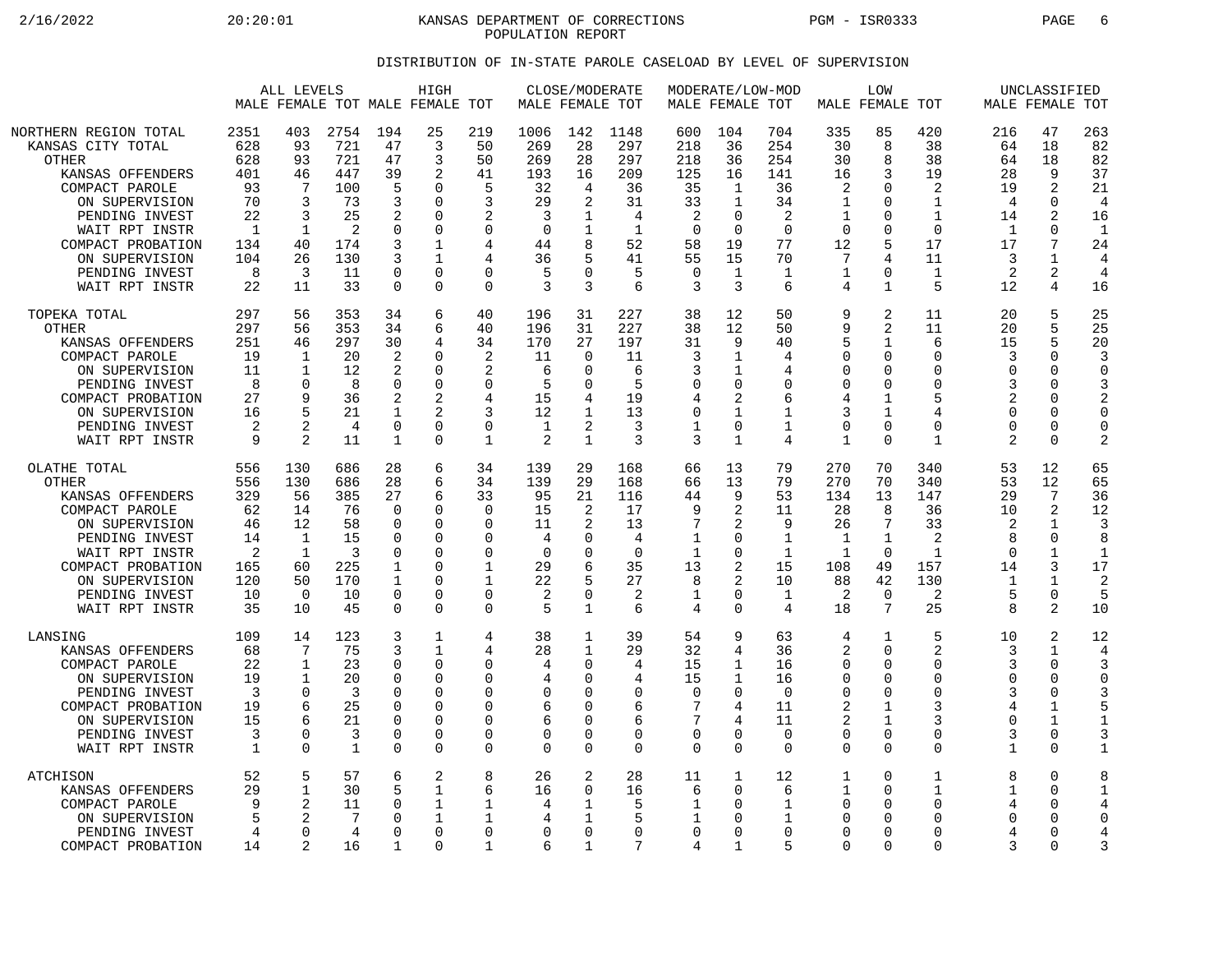2/16/2022 20:20:01 KANSAS DEPARTMENT OF CORRECTIONS PGM - ISR0333 PAGE 6 POPULATION REPORT

## DISTRIBUTION OF IN-STATE PAROLE CASELOAD BY LEVEL OF SUPERVISION

|                                                                                                                                                                                                                                   | ALL LEVELS<br>MALE FEMALE TOT MALE FEMALE TOT                                        |                                                                                               |                                                                                          |                                                                                              | HIGH                                                                                                 |                                                                                                    |                                                                                 | CLOSE/MODERATE<br>MALE FEMALE TOT                                            |                                                                                  |                                                                                             | MODERATE/LOW-MOD<br>MALE FEMALE TOT                                                         |                                                                             |                                                                                    | LOW<br>MALE FEMALE TOT                                                                                         |                                                                                          |                                                                                      | UNCLASSIFIED<br>MALE FEMALE TOT                                                               |                                                                                           |
|-----------------------------------------------------------------------------------------------------------------------------------------------------------------------------------------------------------------------------------|--------------------------------------------------------------------------------------|-----------------------------------------------------------------------------------------------|------------------------------------------------------------------------------------------|----------------------------------------------------------------------------------------------|------------------------------------------------------------------------------------------------------|----------------------------------------------------------------------------------------------------|---------------------------------------------------------------------------------|------------------------------------------------------------------------------|----------------------------------------------------------------------------------|---------------------------------------------------------------------------------------------|---------------------------------------------------------------------------------------------|-----------------------------------------------------------------------------|------------------------------------------------------------------------------------|----------------------------------------------------------------------------------------------------------------|------------------------------------------------------------------------------------------|--------------------------------------------------------------------------------------|-----------------------------------------------------------------------------------------------|-------------------------------------------------------------------------------------------|
| NORTHERN REGION TOTAL<br>KANSAS CITY TOTAL<br><b>OTHER</b><br>KANSAS OFFENDERS<br>COMPACT PAROLE<br>ON SUPERVISION<br>PENDING INVEST<br>WAIT RPT INSTR<br>COMPACT PROBATION<br>ON SUPERVISION<br>PENDING INVEST<br>WAIT RPT INSTR | 2351<br>628<br>628<br>401<br>93<br>70<br>22<br>$\mathbf{1}$<br>134<br>104<br>8<br>22 | 403<br>93<br>93<br>46<br>7<br>3<br>3<br>$\mathbf{1}$<br>40<br>26<br>3<br>11                   | 2754<br>721<br>721<br>447<br>100<br>73<br>25<br>$\overline{2}$<br>174<br>130<br>11<br>33 | 194<br>47<br>47<br>39<br>5<br>3<br>2<br>0<br>3<br>3<br>$\Omega$<br>$\mathbf 0$               | 25<br>3<br>3<br>2<br>$\Omega$<br>$\Omega$<br>$\Omega$<br>$\Omega$<br>1<br>1<br>$\Omega$<br>$\Omega$  | 219<br>50<br>50<br>41<br>5<br>3<br>$\overline{2}$<br>$\mathbf 0$<br>4<br>4<br>$\Omega$<br>$\Omega$ | 1006<br>269<br>269<br>193<br>32<br>29<br>3<br>$\mathbf 0$<br>44<br>36<br>5<br>3 | 142<br>28<br>28<br>16<br>4<br>2<br>1<br>8<br>U<br>3                          | 1148<br>297<br>297<br>209<br>36<br>31<br>4<br>$\mathbf{1}$<br>52<br>41<br>5<br>6 | 600<br>218<br>218<br>125<br>35<br>33<br>2<br>$\overline{0}$<br>58<br>55<br>$\mathbf 0$<br>3 | 104<br>36<br>36<br>16<br>1<br>$\mathbf{1}$<br>$\Omega$<br>$\mathbf 0$<br>19<br>15<br>1<br>3 | 704<br>254<br>254<br>141<br>36<br>34<br>2<br>$\Omega$<br>77<br>70<br>1<br>6 | 335<br>30<br>30<br>16<br>2<br>1<br>1<br>$\Omega$<br>12<br>7<br>1<br>4              | 85<br>8<br>8<br>3<br>$\Omega$<br>$\Omega$<br>$\Omega$<br>$\Omega$<br>5<br>4<br>$\Omega$<br>$\mathbf{1}$        | 420<br>38<br>38<br>19<br>2<br>1<br>$\mathbf{1}$<br>$\Omega$<br>17<br>11<br>1<br>5        | 216<br>64<br>64<br>28<br>19<br>4<br>14<br>$\mathbf{1}$<br>17<br>3<br>2<br>12         | 47<br>18<br>18<br>9<br>2<br>0<br>2<br>$\Omega$<br>7<br>1<br>2<br>4                            | 263<br>82<br>82<br>37<br>21<br>$\overline{4}$<br>16<br>$\mathbf{1}$<br>24<br>4<br>4<br>16 |
| TOPEKA TOTAL<br><b>OTHER</b><br>KANSAS OFFENDERS<br>COMPACT PAROLE<br>ON SUPERVISION<br>PENDING INVEST<br>COMPACT PROBATION<br>ON SUPERVISION<br>PENDING INVEST<br>WAIT RPT INSTR                                                 | 297<br>297<br>251<br>19<br>11<br>8<br>27<br>16<br>2<br>9                             | 56<br>56<br>46<br>$\mathbf 1$<br>$\mathbf{1}$<br>$\mathbf 0$<br>9<br>5<br>$\mathfrak{D}$<br>2 | 353<br>353<br>297<br>20<br>12<br>8<br>36<br>21<br>4<br>11                                | 34<br>34<br>30<br>$\overline{2}$<br>2<br>$\mathbf 0$<br>2<br>1<br>$\mathbf 0$<br>1           | 6<br>6<br>4<br>$\Omega$<br>$\Omega$<br>$\Omega$<br>2<br>$\overline{a}$<br>$\mathbf 0$<br>$\Omega$    | 40<br>40<br>34<br>$\overline{2}$<br>2<br>$\mathbf 0$<br>4<br>3<br>$\mathbf 0$<br>$\mathbf 1$       | 196<br>196<br>170<br>11<br>6<br>5<br>15<br>12<br>1<br>2                         | 31<br>31<br>27<br>$\Omega$<br>$\Omega$<br>$\Omega$<br>1<br>2<br>$\mathbf 1$  | 227<br>227<br>197<br>11<br>6<br>5<br>19<br>13<br>3<br>3                          | 38<br>38<br>31<br>3<br>3<br>$\mathbf 0$<br>4<br>$\mathbf 0$<br>$\mathbf 1$<br>3             | 12<br>12<br>9<br>1<br>1<br>0<br>2<br>1<br>0<br>$\mathbf{1}$                                 | 50<br>50<br>40<br>4<br>4<br>$\mathbf 0$<br>6<br>$\mathbf 1$<br>1<br>4       | 9<br>9<br>5<br>$\Omega$<br>$\Omega$<br>0<br>4<br>3<br>$\mathbf 0$<br>$\mathbf{1}$  | 2<br>$\overline{2}$<br>1<br>$\mathbf 0$<br>$\Omega$<br>0<br>$\mathbf{1}$<br>1<br>$\mathbf 0$<br>$\Omega$       | 11<br>11<br>6<br>$\Omega$<br>$\Omega$<br>$\mathbf 0$<br>5<br>4<br>$\Omega$<br>1          | 20<br>20<br>15<br>3<br>$\Omega$<br>3<br>2<br>$\Omega$<br>$\Omega$<br>$\overline{2}$  | 5<br>5<br>5<br>$\Omega$<br>$\Omega$<br>$\Omega$<br>$\Omega$<br>$\Omega$<br>0<br>0             | 25<br>25<br>20<br>3<br>$\Omega$<br>3<br>2<br>$\Omega$<br>$\mathbf 0$<br>$\overline{2}$    |
| OLATHE TOTAL<br><b>OTHER</b><br>KANSAS OFFENDERS<br>COMPACT PAROLE<br>ON SUPERVISION<br>PENDING INVEST<br>WAIT RPT INSTR<br>COMPACT PROBATION<br>ON SUPERVISION<br>PENDING INVEST<br>WAIT RPT INSTR                               | 556<br>556<br>329<br>62<br>46<br>14<br>2<br>165<br>120<br>10<br>35                   | 130<br>130<br>56<br>14<br>12<br>$\mathbf 1$<br>1<br>60<br>50<br>$\Omega$<br>10                | 686<br>686<br>385<br>76<br>58<br>15<br>3<br>225<br>170<br>10<br>45                       | 28<br>28<br>27<br>$\Omega$<br>0<br>$\Omega$<br>$\Omega$<br>1<br>1<br>$\mathbf 0$<br>$\Omega$ | 6<br>6<br>6<br>$\Omega$<br>0<br>$\Omega$<br>$\Omega$<br>$\Omega$<br>$\Omega$<br>$\Omega$<br>$\Omega$ | 34<br>34<br>33<br>$\Omega$<br>0<br>$\Omega$<br>$\Omega$<br>1<br>1<br>$\mathbf 0$<br>$\Omega$       | 139<br>139<br>95<br>15<br>11<br>4<br>$\Omega$<br>29<br>22<br>2<br>5             | 29<br>29<br>21<br>2<br>2<br>O<br>U<br>0<br>$\mathbf{1}$                      | 168<br>168<br>116<br>17<br>13<br>4<br>$\Omega$<br>35<br>27<br>2<br>6             | 66<br>66<br>44<br>9<br>7<br>$\mathbf 1$<br>1<br>13<br>8<br>1<br>4                           | 13<br>13<br>9<br>2<br>2<br>0<br>0<br>2<br>2<br>0<br>0                                       | 79<br>79<br>53<br>11<br>9<br>$\mathbf 1$<br>1<br>15<br>10<br>1<br>4         | 270<br>270<br>134<br>28<br>26<br>$\mathbf{1}$<br>1<br>108<br>88<br>2<br>18         | 70<br>70<br>13<br>8<br>7<br>$\mathbf 1$<br>$\Omega$<br>49<br>42<br>$\mathbf 0$<br>7                            | 340<br>340<br>147<br>36<br>33<br>$\overline{2}$<br>$\mathbf{1}$<br>157<br>130<br>2<br>25 | 53<br>53<br>29<br>10<br>2<br>$\mathsf{R}$<br>$\cap$<br>14<br>-1<br>5<br>$\mathsf{R}$ | 12<br>12<br>7<br>2<br>$\mathbf 1$<br>0<br>1<br>3<br>1<br>0<br>2                               | 65<br>65<br>36<br>12<br>3<br>8<br>$\mathbf{1}$<br>17<br>2<br>5<br>10                      |
| LANSING<br>KANSAS OFFENDERS<br>COMPACT PAROLE<br>ON SUPERVISION<br>PENDING INVEST<br>COMPACT PROBATION<br>ON SUPERVISION<br>PENDING INVEST<br>WAIT RPT INSTR                                                                      | 109<br>68<br>22<br>19<br>3<br>19<br>15<br>3<br>1                                     | 14<br>7<br>1<br>1<br>$\Omega$<br>6<br>$\Omega$<br>$\Omega$                                    | 123<br>75<br>23<br>20<br>3<br>25<br>21<br>3<br>$\mathbf{1}$                              | 3<br>3<br>0<br>0<br>$\Omega$<br>$\Omega$<br>$\mathbf 0$<br>$\Omega$<br>$\mathbf 0$           | 1<br>$\mathbf{1}$<br>$\Omega$<br>$\Omega$<br>$\Omega$<br>$\Omega$<br>$\Omega$<br>0<br>$\mathbf 0$    | 4<br>4<br>0<br>$\mathbf 0$<br>$\Omega$<br>0<br>$\mathbf 0$<br>$\mathbf 0$<br>$\mathbf 0$           | 38<br>28<br>4<br>4<br>$\Omega$<br>6<br>6<br>0<br>0                              | 1<br>1<br>O<br>$\Omega$<br>O<br>$\Omega$<br>$\Omega$<br>$\Omega$<br>$\Omega$ | 39<br>29<br>4<br>4<br>$\mathbf 0$<br>6<br>6<br>0<br>$\Omega$                     | 54<br>32<br>15<br>15<br>$\Omega$<br>7<br>7<br>$\mathbf 0$<br>$\mathbf 0$                    | 9<br>4<br>1<br>1<br>$\Omega$<br>4<br>4<br>0<br>0                                            | 63<br>36<br>16<br>16<br>$\Omega$<br>11<br>11<br>$\Omega$<br>$\Omega$        | 4<br>2<br>0<br>$\Omega$<br>$\Omega$<br>$\overline{2}$<br>2<br>$\Omega$<br>$\Omega$ | 1<br>$\mathbf 0$<br>$\Omega$<br>$\mathbf 0$<br>$\Omega$<br>$\mathbf{1}$<br>$\mathbf 1$<br>$\Omega$<br>$\Omega$ | 5<br>$\overline{2}$<br>0<br>$\mathbf 0$<br>$\Omega$<br>3<br>3<br>$\Omega$<br>$\mathbf 0$ | 10<br>3<br>3<br>$\Omega$<br>3<br>4<br>$\Omega$<br>3<br>$\mathbf 1$                   | 2<br>$\mathbf{1}$<br>0<br>$\Omega$<br>$\mathbf 0$<br>1<br>$\mathbf 1$<br>$\Omega$<br>$\Omega$ | 12<br>4<br>3<br>$\Omega$<br>3<br>5<br>$\mathbf{1}$<br>3<br>$\mathbf{1}$                   |
| ATCHISON<br>KANSAS OFFENDERS<br>COMPACT PAROLE<br>ON SUPERVISION<br>PENDING INVEST<br>COMPACT PROBATION                                                                                                                           | 52<br>29<br>9<br>5<br>4<br>14                                                        | 5<br>$\mathbf 1$<br>2<br>0<br>2                                                               | 57<br>30<br>11<br>7<br>4<br>16                                                           | 6<br>5<br>0<br>$\Omega$<br>$\cap$<br>$\mathbf{1}$                                            | 2<br>1<br>1<br>1<br>$\mathbf 0$<br>$\Omega$                                                          | 8<br>6<br>1<br>1<br>$\mathbf 0$<br>1                                                               | 26<br>16<br>4<br>4<br>0<br>6                                                    | $\overline{2}$<br>$\Omega$<br>1<br>0<br>1                                    | 28<br>16<br>5<br>5<br>$\mathbf 0$<br>7                                           | 11<br>6<br>1<br>1<br>$\mathbf 0$<br>4                                                       | 1<br>$\Omega$<br>0<br>0<br>0<br>1                                                           | 12<br>6<br>1<br>1<br>$\mathbf 0$<br>5                                       | 1<br>1<br>∩<br>$\Omega$<br>0<br>$\Omega$                                           | $\mathbf 0$<br>$\Omega$<br>$\Omega$<br>$\Omega$<br>$\mathbf 0$<br>$\Omega$                                     | 1<br>1<br>$\mathbf 0$<br>$\Omega$<br>$\mathbf 0$<br>0                                    | 8<br>1<br>4<br>$\Omega$<br>4<br>3                                                    | $\mathbf 0$<br>$\Omega$<br>0<br>O<br>0<br>$\Omega$                                            | 8<br>$\mathbf{1}$<br>4<br>$\Omega$<br>4<br>3                                              |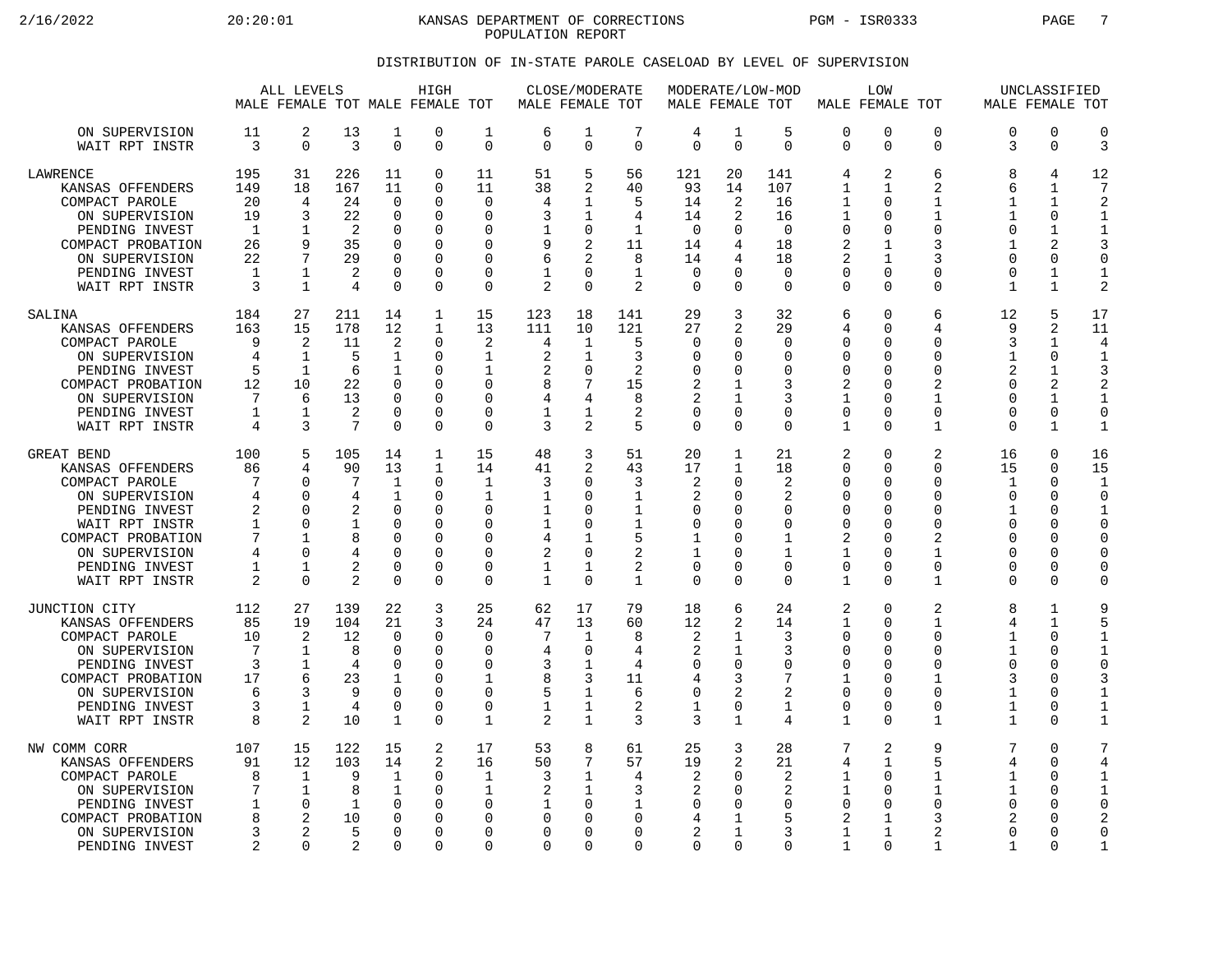2/16/2022 20:20:01 KANSAS DEPARTMENT OF CORRECTIONS PGM - ISR0333 PAGE 7 POPULATION REPORT

## DISTRIBUTION OF IN-STATE PAROLE CASELOAD BY LEVEL OF SUPERVISION

|                                                                                                                                                                                   |                                                           | ALL LEVELS                                                                          |                                                                |                                                                                                 | HIGH<br>MALE FEMALE TOT MALE FEMALE TOT                                   |                                                                                                                        | MALE FEMALE TOT                                                          | CLOSE/MODERATE                                                                   |                                                                                   |                                                                                          | MODERATE/LOW-MOD<br>MALE FEMALE TOT                                                                     |                                                                            |                                                                                                       | LOW<br>MALE FEMALE TOT                                                                                                   |                                                                                            |                                                                                                    | UNCLASSIFIED<br>MALE FEMALE TOT                                 |                                                                                                           |
|-----------------------------------------------------------------------------------------------------------------------------------------------------------------------------------|-----------------------------------------------------------|-------------------------------------------------------------------------------------|----------------------------------------------------------------|-------------------------------------------------------------------------------------------------|---------------------------------------------------------------------------|------------------------------------------------------------------------------------------------------------------------|--------------------------------------------------------------------------|----------------------------------------------------------------------------------|-----------------------------------------------------------------------------------|------------------------------------------------------------------------------------------|---------------------------------------------------------------------------------------------------------|----------------------------------------------------------------------------|-------------------------------------------------------------------------------------------------------|--------------------------------------------------------------------------------------------------------------------------|--------------------------------------------------------------------------------------------|----------------------------------------------------------------------------------------------------|-----------------------------------------------------------------|-----------------------------------------------------------------------------------------------------------|
| ON SUPERVISION<br>WAIT RPT INSTR                                                                                                                                                  | 11<br>3                                                   | 2<br>$\mathbf 0$                                                                    | 13<br>3                                                        | 1<br>$\mathbf 0$                                                                                | 0<br>0                                                                    | $\mathbf{1}$<br>$\mathbf 0$                                                                                            | 6<br>$\Omega$                                                            | 1<br>$\mathbf 0$                                                                 | 7<br>$\Omega$                                                                     | 4<br>$\Omega$                                                                            | 1<br>$\mathbf 0$                                                                                        | 5<br>$\Omega$                                                              | 0<br>$\Omega$                                                                                         | $\Omega$<br>$\overline{0}$                                                                                               | $\Omega$<br>0                                                                              | $\Omega$<br>3                                                                                      | $\Omega$<br>$\mathbf 0$                                         | $\Omega$<br>3                                                                                             |
| <b>LAWRENCE</b><br>KANSAS OFFENDERS<br>COMPACT PAROLE<br>ON SUPERVISION<br>PENDING INVEST<br>COMPACT PROBATION<br>ON SUPERVISION<br>PENDING INVEST<br>WAIT RPT INSTR              | 195<br>149<br>20<br>19<br>1<br>26<br>22<br>1<br>3         | 31<br>18<br>4<br>3<br>1<br>9<br>7<br>$\mathbf 1$<br>$\mathbf{1}$                    | 226<br>167<br>24<br>22<br>$\overline{2}$<br>35<br>29<br>2<br>4 | 11<br>11<br>$\Omega$<br>$\mathbf 0$<br>$\Omega$<br>$\mathbf 0$<br>0<br>$\mathbf 0$<br>$\Omega$  | 0<br>0<br>0<br>0<br>O<br>$\Omega$<br>0<br>0<br>$\Omega$                   | 11<br>11<br>$\Omega$<br>$\mathbf 0$<br>$\Omega$<br>$\Omega$<br>$\Omega$<br>$\Omega$<br>$\Omega$                        | 51<br>38<br>4<br>3<br>1<br>9<br>6<br>2                                   | 5<br>2<br>1<br>1<br>$\Omega$<br>2<br>2<br>$\Omega$<br>$\Omega$                   | 56<br>40<br>5<br>4<br>1<br>11<br>8<br>$\mathbf{1}$<br>2                           | 121<br>93<br>14<br>14<br>$\mathbf 0$<br>14<br>14<br>$\mathbf 0$<br>$\Omega$              | 20<br>14<br>2<br>2<br>$\Omega$<br>4<br>4<br>$\Omega$<br>$\Omega$                                        | 141<br>107<br>16<br>16<br>$\Omega$<br>18<br>18<br>$\mathbf 0$<br>$\Omega$  | 4<br>1<br>$\mathbf{1}$<br>1<br>$\Omega$<br>2<br>2<br>$\mathbf 0$<br>$\Omega$                          | 2<br>$\mathbf{1}$<br>$\Omega$<br>$\Omega$<br>$\Omega$<br>$\mathbf 1$<br>1<br>$\mathbf 0$<br>$\Omega$                     | 6<br>$\overline{2}$<br>1<br>$\mathbf{1}$<br>0<br>3<br>3<br>0<br>$\Omega$                   | 8<br>6<br>1<br>-1<br>$\Omega$<br>$\mathbf{1}$<br>$\Omega$<br>$\Omega$<br>$\mathbf{1}$              | 4<br>1<br>$\mathbf{1}$<br>0<br>1<br>2<br>0<br>1<br>$\mathbf{1}$ | 12<br>7<br>2<br>-1<br>1<br>3<br>$\Omega$<br>$\mathbf 1$<br>$\mathcal{D}$                                  |
| SALINA<br>KANSAS OFFENDERS<br>COMPACT PAROLE<br>ON SUPERVISION<br>PENDING INVEST<br>COMPACT PROBATION<br>ON SUPERVISION<br>PENDING INVEST<br>WAIT RPT INSTR                       | 184<br>163<br>9<br>4<br>5<br>12<br>7<br>$\mathbf{1}$<br>4 | 27<br>15<br>2<br>1<br>$\mathbf{1}$<br>10<br>6<br>1<br>3                             | 211<br>178<br>11<br>5<br>6<br>22<br>13<br>2<br>$7\phantom{.0}$ | 14<br>12<br>2<br>1<br>1<br>$\mathbf 0$<br>$\Omega$<br>$\mathbf 0$<br>$\Omega$                   | $\mathbf{1}$<br>1<br>0<br>0<br>O<br>$\Omega$<br>$\Omega$<br>0<br>$\Omega$ | 15<br>13<br>2<br>1<br>$\mathbf{1}$<br>$\mathbf 0$<br>$\Omega$<br>$\mathbf 0$<br>$\Omega$                               | 123<br>111<br>4<br>$\overline{2}$<br>2<br>8<br>4<br>1<br>3               | 18<br>10<br>1<br>1<br>$\Omega$<br>7<br>4<br>1<br>2                               | 141<br>121<br>5<br>3<br>2<br>15<br>8<br>2<br>5                                    | 29<br>27<br>$\mathbf 0$<br>$\Omega$<br>$\Omega$<br>$\overline{2}$<br>2<br>0<br>$\Omega$  | 3<br>2<br>0<br><sup>0</sup><br>$\Omega$<br>1<br>1<br>$\mathbf 0$<br>$\Omega$                            | 32<br>29<br>0<br>$\Omega$<br>$\Omega$<br>3<br>3<br>$\mathbf 0$<br>$\Omega$ | 6<br>4<br>$\mathbf 0$<br>$\Omega$<br>$\Omega$<br>2<br>1<br>$\mathbf 0$<br>$\mathbf{1}$                | $\mathbf 0$<br>$\Omega$<br>0<br>$\Omega$<br>$\Omega$<br>$\Omega$<br>$\Omega$<br>$\mathbf 0$<br>$\Omega$                  | 6<br>4<br>0<br>$\Omega$<br>0<br>$\overline{a}$<br>1<br>0<br>$\mathbf{1}$                   | 12<br>q<br>3<br>1<br>2<br>$\Omega$<br>$\cap$<br>$\Omega$<br>$\Omega$                               | 5<br>2<br>1<br>0<br>1<br>2<br>1<br>0<br>$\mathbf{1}$            | 17<br>11<br>4<br>1<br>3<br>$\overline{2}$<br>1<br>$\Omega$<br>$\mathbf{1}$                                |
| GREAT BEND<br>KANSAS OFFENDERS<br>COMPACT PAROLE<br>ON SUPERVISION<br>PENDING INVEST<br>WAIT RPT INSTR<br>COMPACT PROBATION<br>ON SUPERVISION<br>PENDING INVEST<br>WAIT RPT INSTR | 100<br>86<br>7<br>4<br>2<br>1<br>7<br>4<br>1<br>2         | 5<br>4<br>0<br>$\Omega$<br>$\cap$<br>$\Omega$<br>-1<br>$\Omega$<br>1<br>$\mathbf 0$ | 105<br>90<br>7<br>4<br>2<br>8<br>2<br>2                        | 14<br>13<br>$\mathbf 1$<br>1<br>0<br>$\mathbf 0$<br>$\Omega$<br>$\mathbf 0$<br>0<br>$\mathbf 0$ | 1<br>$\mathbf{1}$<br>0<br>O<br>O<br>$\Omega$<br>0<br>0<br>0<br>0          | 15<br>14<br>$\mathbf{1}$<br>$\mathbf{1}$<br>$\Omega$<br>$\Omega$<br>$\Omega$<br>$\Omega$<br>$\mathbf 0$<br>$\mathbf 0$ | 48<br>41<br>3<br>1<br>1<br>1<br>4<br>$\overline{2}$<br>1<br>$\mathbf{1}$ | 3<br>2<br>$\Omega$<br>O<br>U<br>0<br>1<br>$\mathbf 0$<br>$\mathbf 1$<br>$\Omega$ | 51<br>43<br>3<br>$\mathbf{1}$<br>1<br>$\mathbf{1}$<br>5<br>2<br>2<br>$\mathbf{1}$ | 20<br>17<br>$\overline{2}$<br>2<br>$\Omega$<br>$\mathbf 0$<br>1<br>1<br>0<br>$\mathbf 0$ | $\mathbf{1}$<br>1<br>$\Omega$<br>0<br>∩<br><sup>0</sup><br><sup>0</sup><br>$\Omega$<br>0<br>$\mathbf 0$ | 21<br>18<br>2<br>2<br>0<br>0<br>1<br>$\mathbf 1$<br>$\Omega$<br>$\Omega$   | 2<br>$\Omega$<br>$\mathbf 0$<br>$\Omega$<br>0<br>$\mathbf 0$<br>2<br>$\mathbf{1}$<br>$\mathbf 0$<br>1 | $\mathbf 0$<br>$\Omega$<br>$\Omega$<br>$\Omega$<br>$\cap$<br>$\Omega$<br>$\Omega$<br>$\mathbf 0$<br>$\Omega$<br>$\Omega$ | $\overline{2}$<br>$\Omega$<br>0<br>O<br>U<br>$\Omega$<br>2<br>$\mathbf{1}$<br>0<br>1       | 16<br>15<br>$\mathbf 1$<br>$\Omega$<br>1<br>$\Omega$<br>$\cap$<br>$\Omega$<br>$\Omega$<br>$\Omega$ | 0<br>U<br>0<br>O<br>O<br>$\Omega$<br>O<br>0<br>0<br>0           | 16<br>15<br>$\mathbf{1}$<br>$\Omega$<br>1<br>$\Omega$<br>$\Omega$<br>$\Omega$<br><sup>0</sup><br>$\Omega$ |
| JUNCTION CITY<br>KANSAS OFFENDERS<br>COMPACT PAROLE<br>ON SUPERVISION<br>PENDING INVEST<br>COMPACT PROBATION<br>ON SUPERVISION<br>PENDING INVEST<br>WAIT RPT INSTR                | 112<br>85<br>10<br>7<br>3<br>17<br>6<br>3<br>8            | 27<br>19<br>2<br>1<br>1<br>6<br>3<br>1<br>2                                         | 139<br>104<br>12<br>8<br>4<br>23<br>9<br>4<br>10               | 22<br>21<br>$\Omega$<br>$\mathbf 0$<br>0<br>1<br>$\mathbf 0$<br>$\mathbf 0$<br>1                | 3<br>3<br>0<br>0<br>0<br>$\Omega$<br>0<br>0<br>0                          | 25<br>24<br>$\Omega$<br>$\mathbf 0$<br>0<br>1<br>$\Omega$<br>$\mathbf 0$<br>1                                          | 62<br>47<br>7<br>4<br>3<br>8<br>5<br>1<br>2                              | 17<br>13<br>1<br>$\cap$<br>1<br>3<br>$\mathbf{1}$<br>1<br>$\mathbf{1}$           | 79<br>60<br>8<br>4<br>4<br>11<br>6<br>2<br>3                                      | 18<br>12<br>$\overline{2}$<br>2<br>0<br>4<br>$\Omega$<br>1<br>3                          | 6<br>2<br>1<br>1<br>0<br>3<br>2<br>0<br>$\mathbf{1}$                                                    | 24<br>14<br>3<br>3<br>$\Omega$<br>7<br>$\overline{2}$<br>1<br>4            | 2<br>$\mathbf{1}$<br>$\Omega$<br>0<br>0<br>$\mathbf{1}$<br>$\mathbf 0$<br>0<br>$\mathbf{1}$           | $\Omega$<br>$\mathbf 0$<br>$\Omega$<br>$\Omega$<br>$\Omega$<br>$\Omega$<br>$\Omega$<br>$\Omega$<br>$\Omega$              | $\overline{2}$<br>$\mathbf{1}$<br>$\Omega$<br>0<br>0<br>1<br>0<br>$\Omega$<br>$\mathbf{1}$ | $\mathsf{R}$<br>4<br>1<br>$\mathbf 1$<br>$\Omega$<br>3<br>$\mathbf 1$<br>1<br>$\mathbf 1$          | 1<br>$\mathbf{1}$<br>O<br>0<br>O<br>O<br>0<br>O<br>U            | 9<br>5<br>1<br>$\Omega$<br>3<br>1<br>$\mathbf{1}$                                                         |
| NW COMM CORR<br>KANSAS OFFENDERS<br>COMPACT PAROLE<br>ON SUPERVISION<br>PENDING INVEST<br>COMPACT PROBATION<br>ON SUPERVISION<br>PENDING INVEST                                   | 107<br>91<br>8<br>7<br>1<br>8<br>3<br>2                   | 15<br>12<br>1<br>$\mathbf 1$<br>$\Omega$<br>2<br>2<br>$\Omega$                      | 122<br>103<br>9<br>8<br>1<br>10<br>5<br>2                      | 15<br>14<br>$\mathbf{1}$<br>1<br>$\Omega$<br>0<br>$\mathbf 0$<br>$\Omega$                       | 2<br>2<br>0<br>0<br>$\Omega$<br>O<br>0<br>0                               | 17<br>16<br>1<br>$\mathbf{1}$<br>$\Omega$<br>$\Omega$<br>$\Omega$<br>$\Omega$                                          | 53<br>50<br>3<br>2<br>-1<br>$\Omega$<br>N<br>$\Omega$                    | 8<br>7<br>$\mathbf{1}$<br>$\mathbf{1}$<br>$\Omega$<br>U<br>$\Omega$<br>$\Omega$  | 61<br>57<br>4<br>3<br>1<br>0<br>$\Omega$<br>$\Omega$                              | 25<br>19<br>2<br>2<br>$\Omega$<br>4<br>$\overline{2}$<br>$\Omega$                        | 3<br>2<br>0<br>$\Omega$<br><sup>0</sup><br>1<br>1<br>$\Omega$                                           | 28<br>21<br>2<br>2<br>$\Omega$<br>5<br>3<br><sup>n</sup>                   | 7<br>4<br>1<br>$\mathbf{1}$<br>$\Omega$<br>2<br>$\mathbf{1}$<br>$\mathbf{1}$                          | 2<br>$\mathbf 1$<br>$\Omega$<br>$\Omega$<br>$\Omega$<br>-1<br>$\mathbf{1}$<br>$\Omega$                                   | 9<br>5<br>1<br>$\mathbf{1}$<br>$\Omega$<br>3<br>$\overline{2}$<br>$\mathbf{1}$             | 7<br>4<br>-1<br>$\mathbf 1$<br>$\Omega$<br>2<br>$\Omega$<br>1                                      | U<br>0<br>O<br>0<br>O<br>O<br>0<br>O                            | 7<br>4<br>1<br>1<br>$\Omega$<br>2<br>$\Omega$                                                             |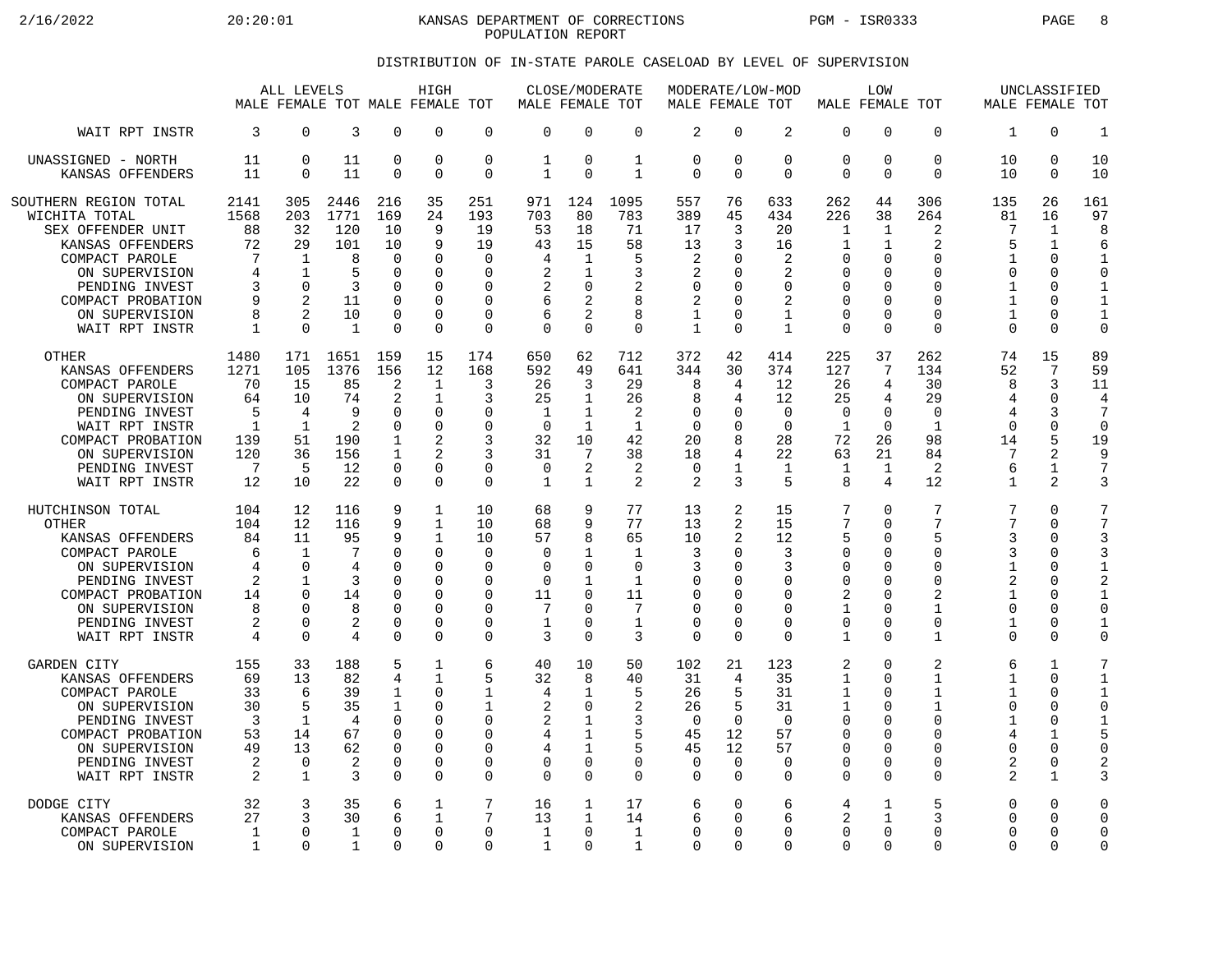2/16/2022 20:20:01 KANSAS DEPARTMENT OF CORRECTIONS PGM - ISR0333 PAGE 8 POPULATION REPORT

## DISTRIBUTION OF IN-STATE PAROLE CASELOAD BY LEVEL OF SUPERVISION

|                                                                                                                                                                                                | ALL LEVELS<br>MALE FEMALE TOT MALE FEMALE TOT                     |                                                                                                         |                                                            | HIGH                                                                             |                                                                                     | MALE FEMALE TOT                                                       | CLOSE/MODERATE                                                 |                                                                   | MODERATE/LOW-MOD<br>MALE FEMALE TOT                          |                                                                                  |                                                      |                                                                                   | LOW<br>MALE FEMALE TOT                                                                                 |                                                                              | MALE FEMALE TOT                                                                                              | UNCLASSIFIED                                                        |                                                                                                                |                                                                                                              |
|------------------------------------------------------------------------------------------------------------------------------------------------------------------------------------------------|-------------------------------------------------------------------|---------------------------------------------------------------------------------------------------------|------------------------------------------------------------|----------------------------------------------------------------------------------|-------------------------------------------------------------------------------------|-----------------------------------------------------------------------|----------------------------------------------------------------|-------------------------------------------------------------------|--------------------------------------------------------------|----------------------------------------------------------------------------------|------------------------------------------------------|-----------------------------------------------------------------------------------|--------------------------------------------------------------------------------------------------------|------------------------------------------------------------------------------|--------------------------------------------------------------------------------------------------------------|---------------------------------------------------------------------|----------------------------------------------------------------------------------------------------------------|--------------------------------------------------------------------------------------------------------------|
| WAIT RPT INSTR                                                                                                                                                                                 | 3                                                                 | $\Omega$                                                                                                | 3                                                          | $\Omega$                                                                         | $\Omega$                                                                            | $\Omega$                                                              | $\Omega$                                                       | $\Omega$                                                          | $\Omega$                                                     | $\overline{2}$                                                                   | $\Omega$                                             | $\overline{2}$                                                                    | $\Omega$                                                                                               | $\Omega$                                                                     | $\Omega$                                                                                                     | 1                                                                   | $\Omega$                                                                                                       | $\mathbf{1}$                                                                                                 |
| UNASSIGNED - NORTH                                                                                                                                                                             | 11                                                                | $\mathbf 0$                                                                                             | 11                                                         | 0                                                                                | $\Omega$                                                                            | $\mathbf 0$                                                           | $\mathbf{1}$                                                   | $\mathbf 0$                                                       | $\mathbf{1}$                                                 | $\mathbf 0$                                                                      | $\mathbf 0$                                          | 0                                                                                 | $\Omega$                                                                                               | 0                                                                            | $\mathbf 0$                                                                                                  | 10                                                                  | $\Omega$                                                                                                       | 10                                                                                                           |
| KANSAS OFFENDERS                                                                                                                                                                               | 11                                                                | $\Omega$                                                                                                | 11                                                         | $\Omega$                                                                         | $\Omega$                                                                            | $\Omega$                                                              | $\mathbf{1}$                                                   | $\Omega$                                                          | $\mathbf{1}$                                                 | $\Omega$                                                                         | $\Omega$                                             | $\Omega$                                                                          | $\Omega$                                                                                               | $\Omega$                                                                     | $\Omega$                                                                                                     | 10                                                                  | $\Omega$                                                                                                       | 10                                                                                                           |
| SOUTHERN REGION TOTAL<br>WICHITA TOTAL<br>SEX OFFENDER UNIT<br>KANSAS OFFENDERS<br>COMPACT PAROLE<br>ON SUPERVISION<br>PENDING INVEST<br>COMPACT PROBATION<br>ON SUPERVISION<br>WAIT RPT INSTR | 2141<br>1568<br>88<br>72<br>7<br>4<br>3<br>9<br>8<br>$\mathbf{1}$ | 305<br>203<br>32<br>29<br>1<br>$\mathbf{1}$<br>$\Omega$<br>$\overline{2}$<br>$\mathfrak{D}$<br>$\Omega$ | 2446<br>1771<br>120<br>101<br>8<br>5<br>3<br>11<br>10<br>1 | 216<br>169<br>10<br>10<br>$\Omega$<br>$\Omega$<br>$\Omega$<br>$\Omega$<br>O<br>0 | 35<br>24<br>9<br>9<br>$\Omega$<br>$\Omega$<br>∩<br>$\Omega$<br>$\Omega$<br>$\Omega$ | 251<br>193<br>19<br>19<br>0<br>$\Omega$<br>O<br>0<br>0<br>$\mathbf 0$ | 971<br>703<br>53<br>43<br>4<br>2<br>2<br>6<br>6<br>$\mathbf 0$ | 124<br>80<br>18<br>15<br>1<br>1<br>$\Omega$<br>2<br>2<br>$\Omega$ | 1095<br>783<br>71<br>58<br>5<br>3<br>2<br>8<br>8<br>$\Omega$ | 557<br>389<br>17<br>13<br>2<br>2<br>$\Omega$<br>2<br>$\mathbf{1}$<br>$\mathbf 1$ | 76<br>45<br>3<br>3<br>O<br>U<br>$\Omega$<br>$\Omega$ | 633<br>434<br>20<br>16<br>2<br>2<br>$\Omega$<br>2<br>$\mathbf{1}$<br>$\mathbf{1}$ | 262<br>226<br>$\mathbf{1}$<br>1<br>0<br>$\mathbf 0$<br>$\Omega$<br>$\mathbf 0$<br>$\Omega$<br>$\Omega$ | 44<br>38<br>1<br>1<br>$\Omega$<br>$\Omega$<br>U<br>0<br>$\Omega$<br>$\Omega$ | 306<br>264<br>2<br>$\overline{2}$<br>$\Omega$<br>$\Omega$<br>$\Omega$<br>$\mathbf 0$<br>$\Omega$<br>$\Omega$ | 135<br>81<br>7<br>5<br>1<br>0<br>$\mathbf{1}$<br>1<br>1<br>$\Omega$ | 26<br>16<br>$\mathbf{1}$<br>$\mathbf{1}$<br>$\Omega$<br>$\Omega$<br>$\cap$<br>$\Omega$<br>$\Omega$<br>$\Omega$ | 161<br>97<br>8<br>6<br>$\mathbf{1}$<br>$\Omega$<br>$\mathbf 1$<br>$\mathbf 1$<br>$\mathbf{1}$<br>$\mathbf 0$ |
| <b>OTHER</b>                                                                                                                                                                                   | 1480                                                              | 171                                                                                                     | 1651                                                       | 159                                                                              | 15                                                                                  | 174                                                                   | 650                                                            | 62                                                                | 712                                                          | 372                                                                              | 42                                                   | 414                                                                               | 225                                                                                                    | 37                                                                           | 262                                                                                                          | 74                                                                  | 15                                                                                                             | 89                                                                                                           |
| KANSAS OFFENDERS                                                                                                                                                                               | 1271                                                              | 105                                                                                                     | 1376                                                       | 156                                                                              | 12                                                                                  | 168                                                                   | 592                                                            | 49                                                                | 641                                                          | 344                                                                              | 30                                                   | 374                                                                               | 127                                                                                                    | 7                                                                            | 134                                                                                                          | 52                                                                  | 7                                                                                                              | 59                                                                                                           |
| COMPACT PAROLE                                                                                                                                                                                 | 70                                                                | 15                                                                                                      | 85                                                         | $\overline{2}$                                                                   | $\mathbf{1}$                                                                        | 3                                                                     | 26                                                             | 3                                                                 | 29                                                           | 8                                                                                | 4                                                    | 12                                                                                | 26                                                                                                     | 4                                                                            | 30                                                                                                           | 8                                                                   | 3                                                                                                              | 11                                                                                                           |
| ON SUPERVISION                                                                                                                                                                                 | 64                                                                | 10                                                                                                      | 74                                                         | 2                                                                                | 1                                                                                   | 3                                                                     | 25                                                             | 1                                                                 | 26                                                           | 8                                                                                | 4                                                    | 12                                                                                | 25                                                                                                     | 4                                                                            | 29                                                                                                           | 4                                                                   | $\Omega$                                                                                                       | 4                                                                                                            |
| PENDING INVEST                                                                                                                                                                                 | 5                                                                 | 4                                                                                                       | 9                                                          | $\Omega$                                                                         | $\Omega$                                                                            | 0                                                                     | $\mathbf 1$                                                    | $\mathbf{1}$                                                      | 2                                                            | $\mathbf 0$                                                                      | $\Omega$                                             | $\Omega$                                                                          | $\mathbf 0$                                                                                            | 0                                                                            | $\mathbf 0$                                                                                                  | 4                                                                   | 3                                                                                                              | 7                                                                                                            |
| WAIT RPT INSTR                                                                                                                                                                                 | $\mathbf{1}$                                                      | $\mathbf{1}$                                                                                            | 2                                                          | $\Omega$                                                                         | $\Omega$                                                                            | 0                                                                     | $\Omega$                                                       | $\mathbf{1}$                                                      | $\mathbf{1}$                                                 | $\Omega$                                                                         | $\Omega$                                             | $\Omega$                                                                          | $\mathbf{1}$                                                                                           | $\Omega$                                                                     | $\mathbf{1}$                                                                                                 | $\Omega$                                                            | $\Omega$                                                                                                       | $\Omega$                                                                                                     |
| COMPACT PROBATION                                                                                                                                                                              | 139                                                               | 51                                                                                                      | 190                                                        | 1                                                                                | $\overline{c}$                                                                      | 3                                                                     | 32                                                             | 10                                                                | 42                                                           | 20                                                                               | 8                                                    | 28                                                                                | 72                                                                                                     | 26                                                                           | 98                                                                                                           | 14                                                                  | 5                                                                                                              | 19                                                                                                           |
| ON SUPERVISION                                                                                                                                                                                 | 120                                                               | 36                                                                                                      | 156                                                        | $\mathbf{1}$                                                                     | $\mathfrak{D}$                                                                      | 3                                                                     | 31                                                             | 7                                                                 | 38                                                           | 18                                                                               | 4                                                    | 22                                                                                | 63                                                                                                     | 21                                                                           | 84                                                                                                           | 7                                                                   | 2                                                                                                              | 9                                                                                                            |
| PENDING INVEST                                                                                                                                                                                 | 7                                                                 | 5                                                                                                       | 12                                                         | $\Omega$                                                                         | $\Omega$                                                                            | 0                                                                     | $\mathbf 0$                                                    | 2                                                                 | 2                                                            | $\mathbf 0$                                                                      | 1                                                    | $\mathbf{1}$                                                                      | $\mathbf{1}$                                                                                           | 1                                                                            | 2                                                                                                            | 6                                                                   | 1                                                                                                              | $\overline{7}$                                                                                               |
| WAIT RPT INSTR                                                                                                                                                                                 | 12                                                                | 10                                                                                                      | 22                                                         | $\Omega$                                                                         | $\Omega$                                                                            | 0                                                                     | 1                                                              | $\mathbf{1}$                                                      | 2                                                            | 2                                                                                | 3                                                    | 5                                                                                 | 8                                                                                                      | 4                                                                            | 12                                                                                                           | $\mathbf{1}$                                                        | 2                                                                                                              | 3                                                                                                            |
| HUTCHINSON TOTAL                                                                                                                                                                               | 104                                                               | 12                                                                                                      | 116                                                        | 9                                                                                | 1                                                                                   | 10                                                                    | 68                                                             | 9                                                                 | 77                                                           | 13                                                                               | 2                                                    | 15                                                                                | 7                                                                                                      | $\Omega$                                                                     | 7                                                                                                            | 7                                                                   | $\cap$                                                                                                         | 7                                                                                                            |
| <b>OTHER</b>                                                                                                                                                                                   | 104                                                               | 12                                                                                                      | 116                                                        | 9                                                                                | $\mathbf{1}$                                                                        | 10                                                                    | 68                                                             | 9                                                                 | 77                                                           | 13                                                                               | 2                                                    | 15                                                                                | 7                                                                                                      | 0                                                                            | 7                                                                                                            | 7                                                                   | $\Omega$                                                                                                       | 7                                                                                                            |
| KANSAS OFFENDERS                                                                                                                                                                               | 84                                                                | 11                                                                                                      | 95                                                         | 9                                                                                | $\mathbf{1}$                                                                        | 10                                                                    | 57                                                             | 8                                                                 | 65                                                           | 10                                                                               | 2                                                    | 12                                                                                | 5                                                                                                      | $\Omega$                                                                     | 5                                                                                                            | ζ                                                                   | $\Omega$                                                                                                       | 3                                                                                                            |
| COMPACT PAROLE                                                                                                                                                                                 | 6                                                                 | $\mathbf 1$                                                                                             | 7                                                          | U                                                                                | $\Omega$                                                                            | $\mathbf 0$                                                           | 0                                                              | 1                                                                 | $\mathbf{1}$                                                 | 3                                                                                | $\Omega$                                             | 3                                                                                 | $\Omega$                                                                                               | 0                                                                            | $\Omega$                                                                                                     | 3                                                                   | $\Omega$                                                                                                       | 3                                                                                                            |
| ON SUPERVISION                                                                                                                                                                                 | 4                                                                 | $\Omega$                                                                                                | 4                                                          | U                                                                                | $\Omega$                                                                            | $\Omega$                                                              | 0                                                              | $\Omega$                                                          | $\Omega$                                                     | 3                                                                                | O                                                    | 3                                                                                 | 0                                                                                                      | $\Omega$                                                                     | 0                                                                                                            | $\mathbf{1}$                                                        | $\Omega$                                                                                                       | $\mathbf 1$                                                                                                  |
| PENDING INVEST                                                                                                                                                                                 | 2                                                                 | $\mathbf 1$                                                                                             | 3                                                          | U                                                                                | $\Omega$                                                                            | 0                                                                     | 0                                                              | $\mathbf{1}$                                                      | $\mathbf{1}$                                                 | $\mathbf 0$                                                                      | $\Omega$                                             | $\Omega$                                                                          | $\mathbf 0$                                                                                            | O                                                                            | $\mathbf 0$                                                                                                  | 2                                                                   | $\Omega$                                                                                                       | $\overline{a}$                                                                                               |
| COMPACT PROBATION                                                                                                                                                                              | 14                                                                | U                                                                                                       | 14                                                         | O                                                                                | $\Omega$                                                                            | O                                                                     | 11                                                             | $\Omega$                                                          | 11                                                           | $\Omega$                                                                         | U                                                    | $\Omega$                                                                          | 2                                                                                                      | O                                                                            | 2                                                                                                            | 1                                                                   | $\Omega$                                                                                                       | $\mathbf{1}$                                                                                                 |
| ON SUPERVISION                                                                                                                                                                                 | 8                                                                 | $\Omega$                                                                                                | 8                                                          | $\Omega$                                                                         | $\Omega$                                                                            | 0                                                                     | 7                                                              | $\Omega$                                                          | 7                                                            | $\mathbf 0$                                                                      | U                                                    | $\Omega$                                                                          | $\mathbf{1}$                                                                                           | $\Omega$                                                                     | $\mathbf{1}$                                                                                                 | $\Omega$                                                            | $\Omega$                                                                                                       | $\Omega$                                                                                                     |
| PENDING INVEST                                                                                                                                                                                 | 2                                                                 | $\Omega$                                                                                                | 2                                                          | $\Omega$                                                                         | $\Omega$                                                                            | 0                                                                     | 1                                                              | 0                                                                 | 1                                                            | 0                                                                                | $\Omega$                                             | $\Omega$                                                                          | 0                                                                                                      | 0                                                                            | $\mathbf 0$                                                                                                  | 1                                                                   | $\Omega$                                                                                                       | $\mathbf 1$                                                                                                  |
| WAIT RPT INSTR                                                                                                                                                                                 | 4                                                                 | $\mathbf 0$                                                                                             | 4                                                          | $\Omega$                                                                         | $\Omega$                                                                            | 0                                                                     | 3                                                              | $\Omega$                                                          | 3                                                            | $\mathbf 0$                                                                      | $\Omega$                                             | $\Omega$                                                                          | $\mathbf{1}$                                                                                           | $\Omega$                                                                     | $\mathbf{1}$                                                                                                 | 0                                                                   | $\Omega$                                                                                                       | $\Omega$                                                                                                     |
| GARDEN CITY                                                                                                                                                                                    | 155                                                               | 33                                                                                                      | 188                                                        | 5                                                                                | 1                                                                                   | 6                                                                     | 40                                                             | 10                                                                | 50                                                           | 102                                                                              | 21                                                   | 123                                                                               | 2                                                                                                      | 0                                                                            | 2                                                                                                            | 6                                                                   | $\mathbf{1}$                                                                                                   | 7                                                                                                            |
| KANSAS OFFENDERS                                                                                                                                                                               | 69                                                                | 13                                                                                                      | 82                                                         | 4                                                                                | $\mathbf{1}$                                                                        | 5                                                                     | 32                                                             | 8                                                                 | 40                                                           | 31                                                                               | $\overline{4}$                                       | 35                                                                                | $\mathbf{1}$                                                                                           | $\Omega$                                                                     | $\mathbf{1}$                                                                                                 | 1                                                                   | $\Omega$                                                                                                       | $\mathbf{1}$                                                                                                 |
| COMPACT PAROLE                                                                                                                                                                                 | 33                                                                | 6                                                                                                       | 39                                                         | 1                                                                                | ∩                                                                                   | 1                                                                     | 4                                                              | 1                                                                 | 5                                                            | 26                                                                               | 5                                                    | 31                                                                                | $\mathbf{1}$                                                                                           | U                                                                            | $\mathbf{1}$                                                                                                 | 1                                                                   | $\Omega$                                                                                                       | $\mathbf{1}$                                                                                                 |
| ON SUPERVISION                                                                                                                                                                                 | 30                                                                | 5                                                                                                       | 35                                                         | 1                                                                                | $\Omega$                                                                            | 1                                                                     | 2                                                              | 0                                                                 | 2                                                            | 26                                                                               | 5                                                    | 31                                                                                | $\mathbf{1}$                                                                                           | 0                                                                            | 1                                                                                                            | 0                                                                   | $\Omega$                                                                                                       | $\Omega$                                                                                                     |
| PENDING INVEST                                                                                                                                                                                 | $\overline{3}$                                                    | $\mathbf 1$                                                                                             | 4                                                          | U                                                                                | $\Omega$                                                                            | 0                                                                     | $\overline{2}$                                                 | $\mathbf{1}$                                                      | 3                                                            | $\Omega$                                                                         | $\Omega$                                             | $\Omega$                                                                          | $\mathbf 0$                                                                                            | $\Omega$                                                                     | $\mathbf 0$                                                                                                  | 1                                                                   | $\mathbf 0$                                                                                                    | $\mathbf{1}$                                                                                                 |
| COMPACT PROBATION                                                                                                                                                                              | 53                                                                | 14                                                                                                      | 67                                                         | $\Omega$                                                                         | ∩                                                                                   | O                                                                     | 4                                                              | 1                                                                 | 5                                                            | 45                                                                               | 12                                                   | 57                                                                                | $\Omega$                                                                                               | O                                                                            | $\Omega$                                                                                                     | 4                                                                   | 1                                                                                                              | 5                                                                                                            |
| ON SUPERVISION                                                                                                                                                                                 | 49                                                                | 13                                                                                                      | 62                                                         | 0                                                                                | $\Omega$                                                                            | 0                                                                     | 4                                                              | 1                                                                 | 5                                                            | 45                                                                               | 12                                                   | 57                                                                                | $\Omega$                                                                                               | 0                                                                            | $\mathbf 0$                                                                                                  | U                                                                   | $\Omega$                                                                                                       | $\circ$                                                                                                      |
| PENDING INVEST                                                                                                                                                                                 | 2                                                                 | $\Omega$                                                                                                | 2                                                          | U                                                                                | $\Omega$                                                                            | $\Omega$                                                              | 0                                                              | $\Omega$                                                          | $\mathbf 0$                                                  | 0                                                                                | $\Omega$                                             | $\Omega$                                                                          | $\Omega$                                                                                               | $\Omega$                                                                     | $\Omega$                                                                                                     | 2                                                                   | $\Omega$                                                                                                       | $\overline{2}$                                                                                               |
| WAIT RPT INSTR                                                                                                                                                                                 | 2                                                                 | $\mathbf{1}$                                                                                            | 3                                                          | $\Omega$                                                                         | $\Omega$                                                                            | 0                                                                     | $\mathbf 0$                                                    | $\Omega$                                                          | $\Omega$                                                     | $\mathbf 0$                                                                      | $\Omega$                                             | $\Omega$                                                                          | $\Omega$                                                                                               | $\Omega$                                                                     | $\cap$                                                                                                       | 2                                                                   | $\mathbf{1}$                                                                                                   | 3                                                                                                            |
| DODGE CITY                                                                                                                                                                                     | 32                                                                | 3                                                                                                       | 35                                                         | 6                                                                                | 1                                                                                   | 7                                                                     | 16                                                             | 1                                                                 | 17                                                           | 6                                                                                | $\Omega$                                             | 6                                                                                 | 4                                                                                                      | 1                                                                            | 5                                                                                                            | 0                                                                   | $\Omega$                                                                                                       | $\circ$                                                                                                      |
| KANSAS OFFENDERS                                                                                                                                                                               | 27                                                                | 3                                                                                                       | 30                                                         | 6                                                                                | 1                                                                                   | 7                                                                     | 13                                                             | 1                                                                 | 14                                                           | 6                                                                                | U                                                    | 6                                                                                 | $\overline{2}$                                                                                         | 1                                                                            | 3                                                                                                            | $\Omega$                                                            | $\Omega$                                                                                                       | $\Omega$                                                                                                     |
| COMPACT PAROLE                                                                                                                                                                                 | 1                                                                 | $\Omega$                                                                                                | $\mathbf{1}$                                               | $\Omega$                                                                         | $\Omega$                                                                            | 0                                                                     | 1                                                              | $\mathbf 0$                                                       | $\mathbf{1}$                                                 | $\Omega$                                                                         | $\Omega$                                             | $\Omega$                                                                          | $\mathbf 0$                                                                                            | 0                                                                            | $\mathbf 0$                                                                                                  | $\Omega$                                                            | $\Omega$                                                                                                       | $\Omega$                                                                                                     |
| ON SUPERVISION                                                                                                                                                                                 | $\mathbf 1$                                                       | $\Omega$                                                                                                | 1                                                          | 0                                                                                | $\Omega$                                                                            | 0                                                                     | $\mathbf 1$                                                    | $\Omega$                                                          | $\mathbf{1}$                                                 | $\Omega$                                                                         | $\Omega$                                             | $\Omega$                                                                          | $\Omega$                                                                                               | $\Omega$                                                                     | $\Omega$                                                                                                     | 0                                                                   | $\Omega$                                                                                                       | $\Omega$                                                                                                     |